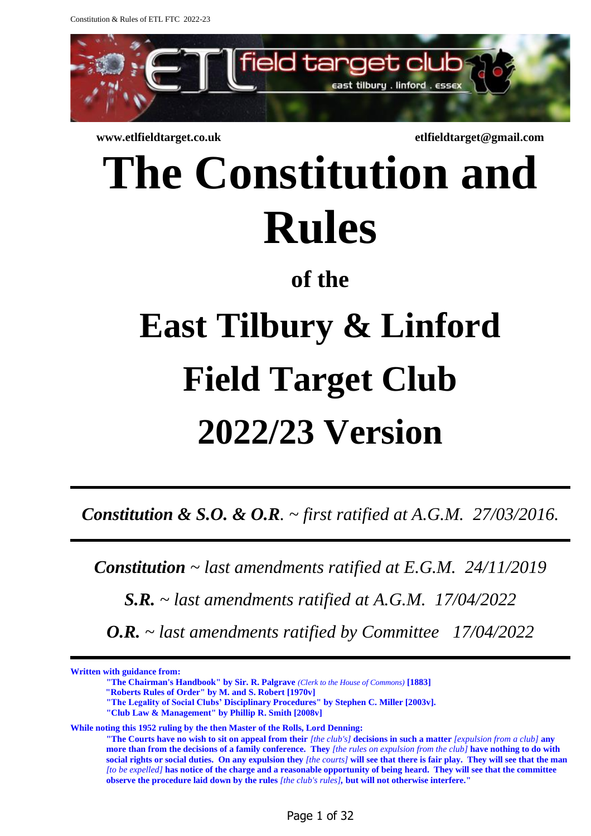

**www.etlfieldtarget.co.uk etlfieldtarget@gmail.com**

# **The Constitution and Rules**

# **of the**

# **East Tilbury & Linford Field Target Club 2022/23 Version**

*Constitution & S.O. & O.R. ~ first ratified at A.G.M. 27/03/2016.*

*Constitution ~ last amendments ratified at E.G.M. 24/11/2019 S.R. ~ last amendments ratified at A.G.M. 17/04/2022*

*O.R. ~ last amendments ratified by Committee 17/04/2022*

**Written with guidance from:**

**While noting this 1952 ruling by the then Master of the Rolls, Lord Denning:**

**<sup>&</sup>quot;The Chairman's Handbook" by Sir. R. Palgrave** *(Clerk to the House of Commons)* **[1883]**

**<sup>&</sup>quot;Roberts Rules of Order" by M. and S. Robert [1970v]**

**<sup>&</sup>quot;The Legality of Social Clubs' Disciplinary Procedures" by Stephen C. Miller [2003v].**

**<sup>&</sup>quot;Club Law & Management" by Phillip R. Smith [2008v]**

**<sup>&</sup>quot;The Courts have no wish to sit on appeal from their** *[the club's]* **decisions in such a matter** *[expulsion from a club]* **any more than from the decisions of a family conference. They** *[the rules on expulsion from the club]* **have nothing to do with social rights or social duties. On any expulsion they** *[the courts]* **will see that there is fair play. They will see that the man**  *[to be expelled]* **has notice of the charge and a reasonable opportunity of being heard. They will see that the committee observe the procedure laid down by the rules** *[the club's rules],* **but will not otherwise interfere."**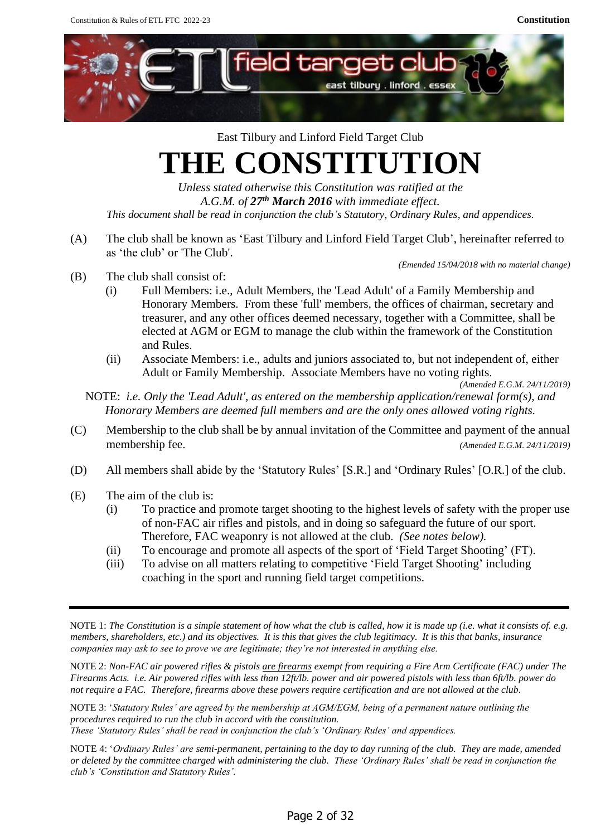

## East Tilbury and Linford Field Target Club **E CONSTITUTION**

*Unless stated otherwise this Constitution was ratified at the A.G.M. of 27th March 2016 with immediate effect. This document shall be read in conjunction the club's Statutory, Ordinary Rules, and appendices.*

(A) The club shall be known as 'East Tilbury and Linford Field Target Club', hereinafter referred to as 'the club' or 'The Club'.

*(Emended 15/04/2018 with no material change)*

- (B) The club shall consist of:
	- (i) Full Members: i.e., Adult Members, the 'Lead Adult' of a Family Membership and Honorary Members. From these 'full' members, the offices of chairman, secretary and treasurer, and any other offices deemed necessary, together with a Committee, shall be elected at AGM or EGM to manage the club within the framework of the Constitution and Rules.
	- (ii) Associate Members: i.e., adults and juniors associated to, but not independent of, either Adult or Family Membership. Associate Members have no voting rights.

*(Amended E.G.M. 24/11/2019)*

- NOTE: *i.e. Only the 'Lead Adult', as entered on the membership application/renewal form(s), and Honorary Members are deemed full members and are the only ones allowed voting rights.*
- (C) Membership to the club shall be by annual invitation of the Committee and payment of the annual membership fee. *(Amended E.G.M. 24/11/2019)*
- (D) All members shall abide by the 'Statutory Rules' [S.R.] and 'Ordinary Rules' [O.R.] of the club.
- (E) The aim of the club is:
	- (i) To practice and promote target shooting to the highest levels of safety with the proper use of non-FAC air rifles and pistols, and in doing so safeguard the future of our sport. Therefore, FAC weaponry is not allowed at the club. *(See notes below).*
	- (ii) To encourage and promote all aspects of the sport of 'Field Target Shooting' (FT).
	- (iii) To advise on all matters relating to competitive 'Field Target Shooting' including coaching in the sport and running field target competitions.

NOTE 1: *The Constitution is a simple statement of how what the club is called, how it is made up (i.e. what it consists of. e.g. members, shareholders, etc.) and its objectives. It is this that gives the club legitimacy. It is this that banks, insurance companies may ask to see to prove we are legitimate; they're not interested in anything else.*

NOTE 2: *Non-FAC air powered rifles & pistols are firearms exempt from requiring a Fire Arm Certificate (FAC) under The Firearms Acts. i.e. Air powered rifles with less than 12ft/lb. power and air powered pistols with less than 6ft/lb. power do not require a FAC. Therefore, firearms above these powers require certification and are not allowed at the club.*

NOTE 3: '*Statutory Rules' are agreed by the membership at AGM/EGM, being of a permanent nature outlining the procedures required to run the club in accord with the constitution.*

*These 'Statutory Rules' shall be read in conjunction the club's 'Ordinary Rules' and appendices.* 

NOTE 4: '*Ordinary Rules' are semi-permanent, pertaining to the day to day running of the club. They are made, amended or deleted by the committee charged with administering the club. These 'Ordinary Rules' shall be read in conjunction the club's 'Constitution and Statutory Rules'.*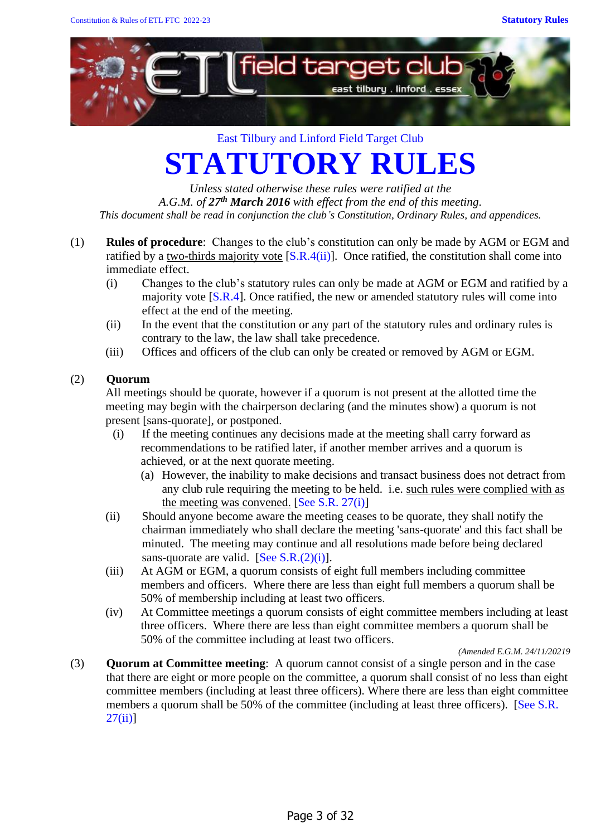

## East Tilbury and Linford Field Target Club **STATUTORY RULES**

*Unless stated otherwise these rules were ratified at the A.G.M. of 27th March 2016 with effect from the end of this meeting. This document shall be read in conjunction the club's Constitution, Ordinary Rules, and appendices.*

- (1) **Rules of procedure**: Changes to the club's constitution can only be made by AGM or EGM and ratified by a two-thirds majority vote  $[S.R.4(ii)]$ . Once ratified, the constitution shall come into immediate effect.
	- (i) Changes to the club's statutory rules can only be made at AGM or EGM and ratified by a majority vote  $[S.R.4]$ . Once ratified, the new or amended statutory rules will come into effect at the end of the meeting.
	- (ii) In the event that the constitution or any part of the statutory rules and ordinary rules is contrary to the law, the law shall take precedence.
	- (iii) Offices and officers of the club can only be created or removed by AGM or EGM.

### (2) **Quorum**

All meetings should be quorate, however if a quorum is not present at the allotted time the meeting may begin with the chairperson declaring (and the minutes show) a quorum is not present [sans-quorate], or postponed.

- (i) If the meeting continues any decisions made at the meeting shall carry forward as recommendations to be ratified later, if another member arrives and a quorum is achieved, or at the next quorate meeting.
	- (a) However, the inability to make decisions and transact business does not detract from any club rule requiring the meeting to be held. i.e. such rules were complied with as the meeting was convened.  $[See S.R. 27(i)]$
- (ii) Should anyone become aware the meeting ceases to be quorate, they shall notify the chairman immediately who shall declare the meeting 'sans-quorate' and this fact shall be minuted. The meeting may continue and all resolutions made before being declared sans-quorate are valid. [See  $S.R.(2)(i)$ ].
- (iii) At AGM or EGM, a quorum consists of eight full members including committee members and officers. Where there are less than eight full members a quorum shall be 50% of membership including at least two officers.
- (iv) At Committee meetings a quorum consists of eight committee members including at least three officers. Where there are less than eight committee members a quorum shall be 50% of the committee including at least two officers.

*(Amended E.G.M. 24/11/20219*

(3) **Quorum at Committee meeting**: A quorum cannot consist of a single person and in the case that there are eight or more people on the committee, a quorum shall consist of no less than eight committee members (including at least three officers). Where there are less than eight committee members a quorum shall be 50% of the committee (including at least three officers). [See S.R.  $27(ii)$ ]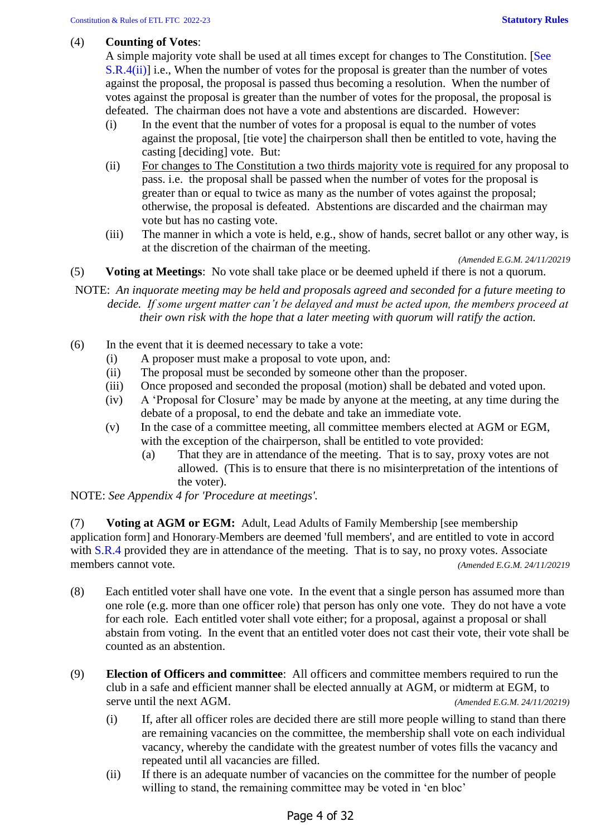### (4) **Counting of Votes**:

A simple majority vote shall be used at all times except for changes to The Constitution. [See S.R.4(ii)] i.e., When the number of votes for the proposal is greater than the number of votes against the proposal, the proposal is passed thus becoming a resolution. When the number of votes against the proposal is greater than the number of votes for the proposal, the proposal is defeated. The chairman does not have a vote and abstentions are discarded. However:

- (i) In the event that the number of votes for a proposal is equal to the number of votes against the proposal, [tie vote] the chairperson shall then be entitled to vote, having the casting [deciding] vote. But:
- (ii) For changes to The Constitution a two thirds majority vote is required for any proposal to pass. i.e. the proposal shall be passed when the number of votes for the proposal is greater than or equal to twice as many as the number of votes against the proposal; otherwise, the proposal is defeated. Abstentions are discarded and the chairman may vote but has no casting vote.
- (iii) The manner in which a vote is held, e.g., show of hands, secret ballot or any other way, is at the discretion of the chairman of the meeting.

*(Amended E.G.M. 24/11/20219*

- (5) **Voting at Meetings**: No vote shall take place or be deemed upheld if there is not a quorum.
- NOTE: *An inquorate meeting may be held and proposals agreed and seconded for a future meeting to decide. If some urgent matter can't be delayed and must be acted upon, the members proceed at their own risk with the hope that a later meeting with quorum will ratify the action.*
- (6) In the event that it is deemed necessary to take a vote:
	- (i) A proposer must make a proposal to vote upon, and:
	- (ii) The proposal must be seconded by someone other than the proposer.
	- (iii) Once proposed and seconded the proposal (motion) shall be debated and voted upon.
	- (iv) A 'Proposal for Closure' may be made by anyone at the meeting, at any time during the debate of a proposal, to end the debate and take an immediate vote.
	- (v) In the case of a committee meeting, all committee members elected at AGM or EGM, with the exception of the chairperson, shall be entitled to vote provided:
		- (a) That they are in attendance of the meeting. That is to say, proxy votes are not allowed. (This is to ensure that there is no misinterpretation of the intentions of the voter).

NOTE: *See Appendix 4 for 'Procedure at meetings'.*

(7) **Voting at AGM or EGM:** Adult, Lead Adults of Family Membership [see membership application form] and Honorary Members are deemed 'full members', and are entitled to vote in accord with **S.R.4** provided they are in attendance of the meeting. That is to say, no proxy votes. Associate members cannot vote. *(Amended E.G.M. 24/11/20219*

- (8) Each entitled voter shall have one vote. In the event that a single person has assumed more than one role (e.g. more than one officer role) that person has only one vote. They do not have a vote for each role. Each entitled voter shall vote either; for a proposal, against a proposal or shall abstain from voting. In the event that an entitled voter does not cast their vote, their vote shall be counted as an abstention.
- (9) **Election of Officers and committee**: All officers and committee members required to run the club in a safe and efficient manner shall be elected annually at AGM, or midterm at EGM, to serve until the next AGM. *(Amended E.G.M. 24/11/20219)*
	- (i) If, after all officer roles are decided there are still more people willing to stand than there are remaining vacancies on the committee, the membership shall vote on each individual vacancy, whereby the candidate with the greatest number of votes fills the vacancy and repeated until all vacancies are filled.
	- (ii) If there is an adequate number of vacancies on the committee for the number of people willing to stand, the remaining committee may be voted in 'en bloc'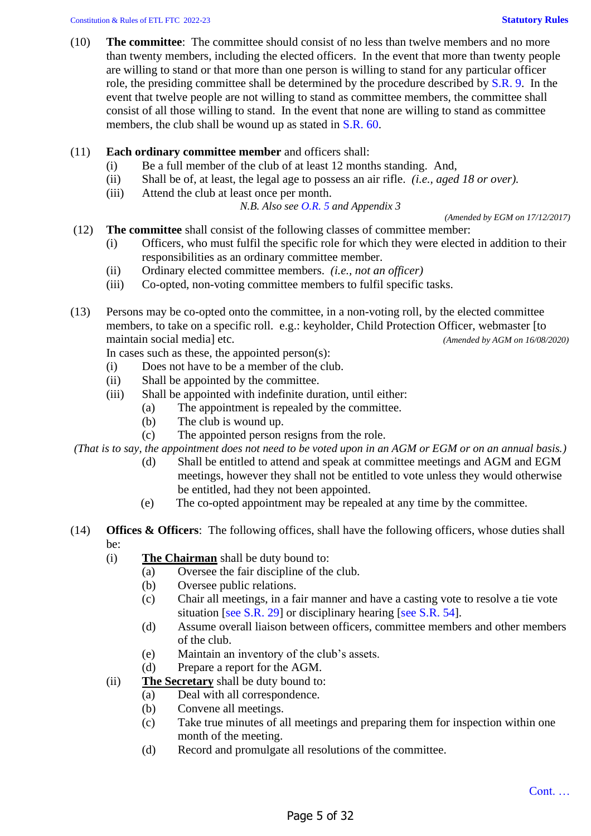(10) **The committee**:The committee should consist of no less than twelve members and no more than twenty members, including the elected officers. In the event that more than twenty people are willing to stand or that more than one person is willing to stand for any particular officer role, the presiding committee shall be determined by the procedure described by S.R. 9. In the event that twelve people are not willing to stand as committee members, the committee shall consist of all those willing to stand. In the event that none are willing to stand as committee members, the club shall be wound up as stated in S.R. 60.

### (11) **Each ordinary committee member** and officers shall:

- (i) Be a full member of the club of at least 12 months standing. And,
- (ii) Shall be of, at least, the legal age to possess an air rifle. *(i.e., aged 18 or over).*
- (iii) Attend the club at least once per month.
	- *N.B. Also see O.R. 5 and Appendix 3*

*(Amended by EGM on 17/12/2017)*

### (12) **The committee** shall consist of the following classes of committee member:

- (i) Officers, who must fulfil the specific role for which they were elected in addition to their responsibilities as an ordinary committee member.
- (ii) Ordinary elected committee members. *(i.e., not an officer)*
- (iii) Co-opted, non-voting committee members to fulfil specific tasks.
- (13) Persons may be co-opted onto the committee, in a non-voting roll, by the elected committee members, to take on a specific roll. e.g.: keyholder, Child Protection Officer, webmaster [to maintain social media] etc. *(Amended by AGM on 16/08/2020)*

In cases such as these, the appointed person $(s)$ :

- (i) Does not have to be a member of the club.
- (ii) Shall be appointed by the committee.
- (iii) Shall be appointed with indefinite duration, until either:
	- (a) The appointment is repealed by the committee.
		- (b) The club is wound up.
	- (c) The appointed person resigns from the role.

*(That is to say, the appointment does not need to be voted upon in an AGM or EGM or on an annual basis.)*

- (d) Shall be entitled to attend and speak at committee meetings and AGM and EGM meetings, however they shall not be entitled to vote unless they would otherwise be entitled, had they not been appointed.
- (e) The co-opted appointment may be repealed at any time by the committee.
- (14) **Offices & Officers**: The following offices, shall have the following officers, whose duties shall be:
	- (i) **The Chairman** shall be duty bound to:
		- (a) Oversee the fair discipline of the club.
		- (b) Oversee public relations.
		- (c) Chair all meetings, in a fair manner and have a casting vote to resolve a tie vote situation [see S.R. 29] or disciplinary hearing [see S.R. 54].
		- (d) Assume overall liaison between officers, committee members and other members of the club.
		- (e) Maintain an inventory of the club's assets.
		- (d) Prepare a report for the AGM.
	- (ii) **The Secretary** shall be duty bound to:
		- (a) Deal with all correspondence.
		- (b) Convene all meetings.
		- (c) Take true minutes of all meetings and preparing them for inspection within one month of the meeting.
		- (d) Record and promulgate all resolutions of the committee.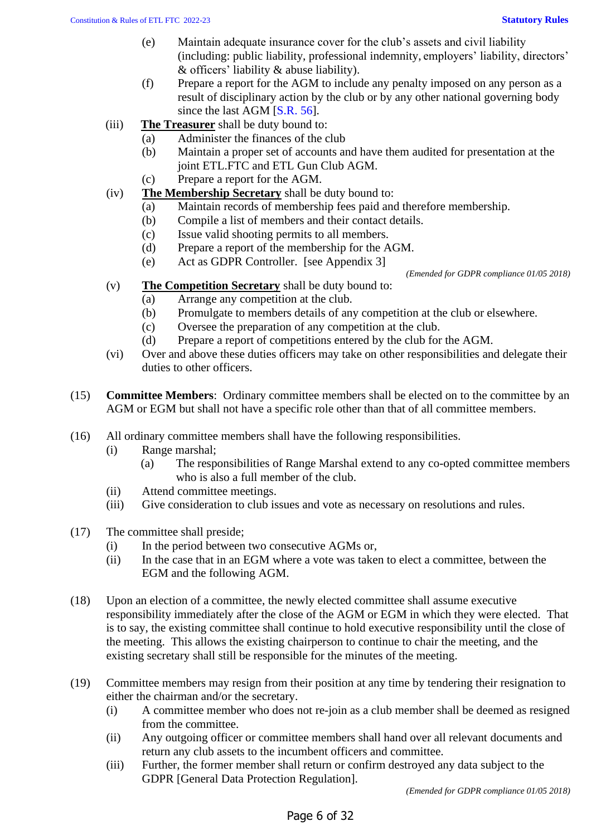- (e) Maintain adequate insurance cover for the club's assets and civil liability (including: public liability, professional indemnity, employers' liability, directors' & officers' liability & abuse liability).
- (f) Prepare a report for the AGM to include any penalty imposed on any person as a result of disciplinary action by the club or by any other national governing body since the last AGM [S.R. 56].
- (iii) **The Treasurer** shall be duty bound to:
	- (a) Administer the finances of the club
	- (b) Maintain a proper set of accounts and have them audited for presentation at the joint ETL.FTC and ETL Gun Club AGM.
	- (c) Prepare a report for the AGM.
- (iv) **The Membership Secretary** shall be duty bound to:
	- (a) Maintain records of membership fees paid and therefore membership.
	- (b) Compile a list of members and their contact details.
	- (c) Issue valid shooting permits to all members.
	- (d) Prepare a report of the membership for the AGM.
	- (e) Act as GDPR Controller. [see Appendix 3]
- *(Emended for GDPR compliance 01/05 2018)*
- (v) **The Competition Secretary** shall be duty bound to:
	- (a) Arrange any competition at the club.
	- (b) Promulgate to members details of any competition at the club or elsewhere.
	- (c) Oversee the preparation of any competition at the club.
	- (d) Prepare a report of competitions entered by the club for the AGM.
- (vi) Over and above these duties officers may take on other responsibilities and delegate their duties to other officers.
- (15) **Committee Members**: Ordinary committee members shall be elected on to the committee by an AGM or EGM but shall not have a specific role other than that of all committee members.
- (16) All ordinary committee members shall have the following responsibilities.
	- (i) Range marshal;
		- (a) The responsibilities of Range Marshal extend to any co-opted committee members who is also a full member of the club.
	- (ii) Attend committee meetings.
	- (iii) Give consideration to club issues and vote as necessary on resolutions and rules.
- (17) The committee shall preside;
	- (i) In the period between two consecutive AGMs or,
	- (ii) In the case that in an EGM where a vote was taken to elect a committee, between the EGM and the following AGM.
- (18) Upon an election of a committee, the newly elected committee shall assume executive responsibility immediately after the close of the AGM or EGM in which they were elected. That is to say, the existing committee shall continue to hold executive responsibility until the close of the meeting. This allows the existing chairperson to continue to chair the meeting, and the existing secretary shall still be responsible for the minutes of the meeting.
- (19) Committee members may resign from their position at any time by tendering their resignation to either the chairman and/or the secretary.
	- (i) A committee member who does not re-join as a club member shall be deemed as resigned from the committee.
	- (ii) Any outgoing officer or committee members shall hand over all relevant documents and return any club assets to the incumbent officers and committee.
	- (iii) Further, the former member shall return or confirm destroyed any data subject to the GDPR [General Data Protection Regulation].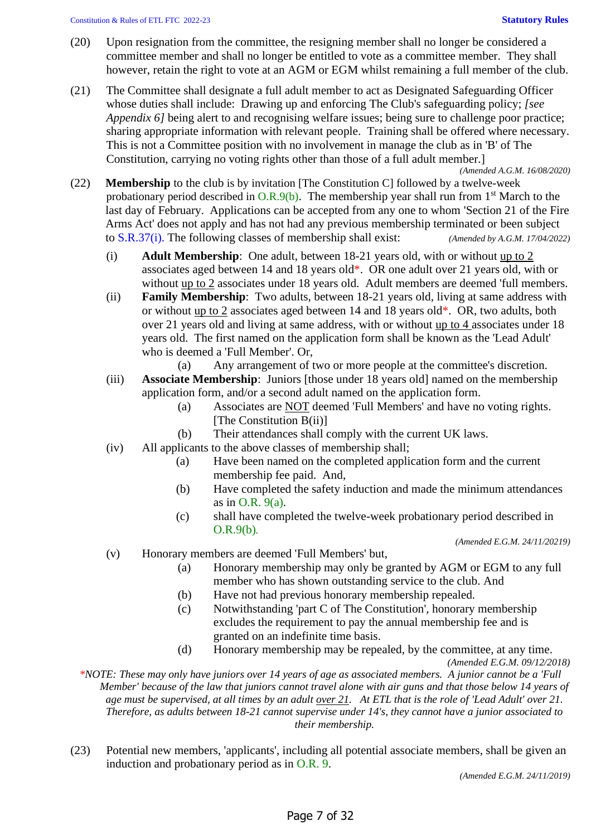- (20) Upon resignation from the committee, the resigning member shall no longer be considered a committee member and shall no longer be entitled to vote as a committee member. They shall however, retain the right to vote at an AGM or EGM whilst remaining a full member of the club.
- (21) The Committee shall designate a full adult member to act as Designated Safeguarding Officer whose duties shall include: Drawing up and enforcing The Club's safeguarding policy; *[see Appendix 6]* being alert to and recognising welfare issues; being sure to challenge poor practice; sharing appropriate information with relevant people. Training shall be offered where necessary. This is not a Committee position with no involvement in manage the club as in 'B' of The Constitution, carrying no voting rights other than those of a full adult member.] *(Amended A.G.M. 16/08/2020)*

(22) **Membership** to the club is by invitation [The Constitution C] followed by a twelve-week probationary period described in  $O.R.9(b)$ . The membership year shall run from 1<sup>st</sup> March to the last day of February. Applications can be accepted from any one to whom 'Section 21 of the Fire Arms Act' does not apply and has not had any previous membership terminated or been subject to S.R.37(i). The following classes of membership shall exist: *(Amended by A.G.M. 17/04/2022)*

- (i) **Adult Membership**: One adult, between 18-21 years old, with or without up to 2 associates aged between 14 and 18 years old\*. OR one adult over 21 years old, with or without up to 2 associates under 18 years old. Adult members are deemed 'full members.
- (ii) **Family Membership**: Two adults, between 18-21 years old, living at same address with or without up to 2 associates aged between 14 and 18 years old\*. OR, two adults, both over 21 years old and living at same address, with or without up to 4 associates under 18 years old. The first named on the application form shall be known as the 'Lead Adult' who is deemed a 'Full Member'. Or,

(a) Any arrangement of two or more people at the committee's discretion. (iii) **Associate Membership**: Juniors [those under 18 years old] named on the membership

- application form, and/or a second adult named on the application form.
	- (a) Associates are NOT deemed 'Full Members' and have no voting rights. [The Constitution B(ii)]
	- (b) Their attendances shall comply with the current UK laws.
- (iv) All applicants to the above classes of membership shall;
	- (a) Have been named on the completed application form and the current membership fee paid. And,
	- (b) Have completed the safety induction and made the minimum attendances as in O.R.  $9(a)$ .
	- (c) shall have completed the twelve-week probationary period described in O.R.9(b).

(v) Honorary members are deemed 'Full Members' but,

- (a) Honorary membership may only be granted by AGM or EGM to any full member who has shown outstanding service to the club. And
- (b) Have not had previous honorary membership repealed.
- (c) Notwithstanding 'part C of The Constitution', honorary membership excludes the requirement to pay the annual membership fee and is granted on an indefinite time basis.
- (d) Honorary membership may be repealed, by the committee, at any time. *(Amended E.G.M. 09/12/2018)*

*\*NOTE: These may only have juniors over 14 years of age as associated members. A junior cannot be a 'Full Member' because of the law that juniors cannot travel alone with air guns and that those below 14 years of age must be supervised, at all times by an adult over 21. At ETL that is the role of 'Lead Adult' over 21. Therefore, as adults between 18-21 cannot supervise under 14's, they cannot have a junior associated to their membership.*

(23) Potential new members, 'applicants', including all potential associate members, shall be given an induction and probationary period as in O.R. 9.

*<sup>(</sup>Amended E.G.M. 24/11/20219)*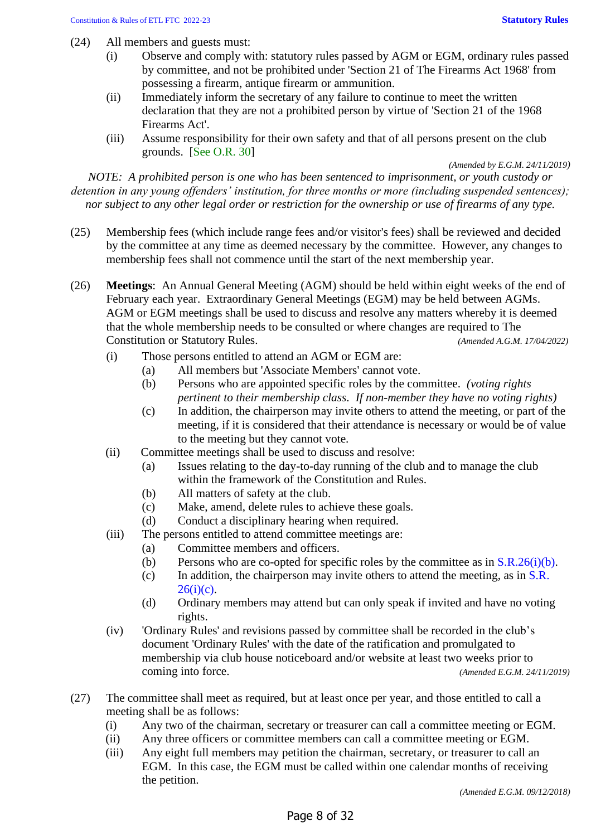- (24) All members and guests must:
	- (i) Observe and comply with: statutory rules passed by AGM or EGM, ordinary rules passed by committee, and not be prohibited under 'Section 21 of The Firearms Act 1968' from possessing a firearm, antique firearm or ammunition.
	- (ii) Immediately inform the secretary of any failure to continue to meet the written declaration that they are not a prohibited person by virtue of 'Section 21 of the 1968 Firearms Act'.
	- (iii) Assume responsibility for their own safety and that of all persons present on the club grounds. [See O.R. 30]

*(Amended by E.G.M. 24/11/2019)*

*NOTE: A prohibited person is one who has been sentenced to imprisonment, or youth custody or detention in any young offenders' institution, for three months or more (including suspended sentences); nor subject to any other legal order or restriction for the ownership or use of firearms of any type.*

- (25) Membership fees (which include range fees and/or visitor's fees) shall be reviewed and decided by the committee at any time as deemed necessary by the committee. However, any changes to membership fees shall not commence until the start of the next membership year.
- (26) **Meetings**: An Annual General Meeting (AGM) should be held within eight weeks of the end of February each year. Extraordinary General Meetings (EGM) may be held between AGMs. AGM or EGM meetings shall be used to discuss and resolve any matters whereby it is deemed that the whole membership needs to be consulted or where changes are required to The Constitution or Statutory Rules. *(Amended A.G.M. 17/04/2022)*
	- (i) Those persons entitled to attend an AGM or EGM are:
		- (a) All members but 'Associate Members' cannot vote.
		- (b) Persons who are appointed specific roles by the committee. *(voting rights pertinent to their membership class. If non-member they have no voting rights)*
		- (c) In addition, the chairperson may invite others to attend the meeting, or part of the meeting, if it is considered that their attendance is necessary or would be of value to the meeting but they cannot vote.
	- (ii) Committee meetings shall be used to discuss and resolve:
		- (a) Issues relating to the day-to-day running of the club and to manage the club within the framework of the Constitution and Rules.
		- (b) All matters of safety at the club.
		- (c) Make, amend, delete rules to achieve these goals.
		- (d) Conduct a disciplinary hearing when required.
	- (iii) The persons entitled to attend committee meetings are:
		- (a) Committee members and officers.
		- (b) Persons who are co-opted for specific roles by the committee as in  $S.R.26(i)(b)$ .
		- (c) In addition, the chairperson may invite others to attend the meeting, as in  $S.R.$  $26(i)(c)$ .
		- (d) Ordinary members may attend but can only speak if invited and have no voting rights.
	- (iv) 'Ordinary Rules' and revisions passed by committee shall be recorded in the club's document 'Ordinary Rules' with the date of the ratification and promulgated to membership via club house noticeboard and/or website at least two weeks prior to coming into force. *(Amended E.G.M. 24/11/2019)*
- (27) The committee shall meet as required, but at least once per year, and those entitled to call a meeting shall be as follows:
	- (i) Any two of the chairman, secretary or treasurer can call a committee meeting or EGM.
	- (ii) Any three officers or committee members can call a committee meeting or EGM.
	- (iii) Any eight full members may petition the chairman, secretary, or treasurer to call an EGM. In this case, the EGM must be called within one calendar months of receiving the petition.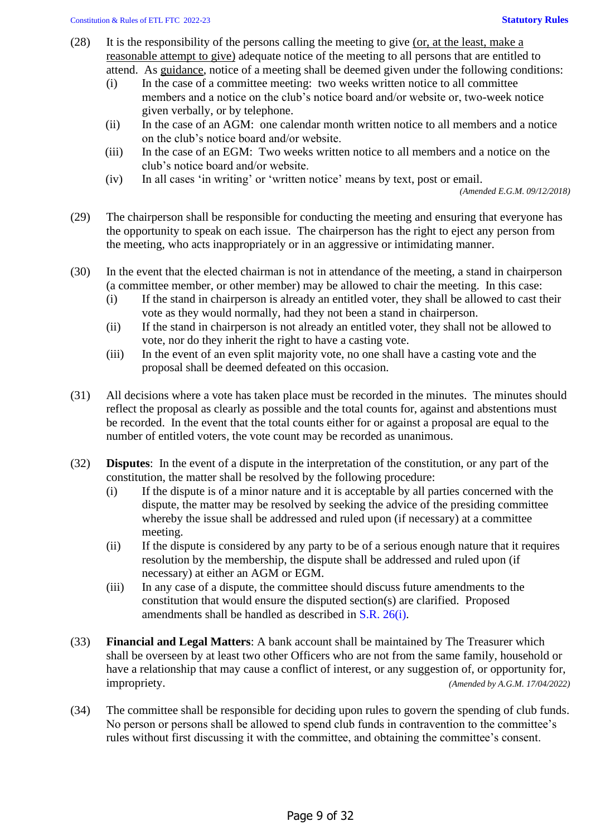- (28) It is the responsibility of the persons calling the meeting to give (or, at the least, make a reasonable attempt to give) adequate notice of the meeting to all persons that are entitled to attend. As guidance, notice of a meeting shall be deemed given under the following conditions:
	- (i) In the case of a committee meeting: two weeks written notice to all committee members and a notice on the club's notice board and/or website or, two-week notice given verbally, or by telephone.
	- (ii) In the case of an AGM: one calendar month written notice to all members and a notice on the club's notice board and/or website.
	- (iii) In the case of an EGM: Two weeks written notice to all members and a notice on the club's notice board and/or website.
	- (iv) In all cases 'in writing' or 'written notice' means by text, post or email.

*(Amended E.G.M. 09/12/2018)*

- (29) The chairperson shall be responsible for conducting the meeting and ensuring that everyone has the opportunity to speak on each issue. The chairperson has the right to eject any person from the meeting, who acts inappropriately or in an aggressive or intimidating manner.
- (30) In the event that the elected chairman is not in attendance of the meeting, a stand in chairperson (a committee member, or other member) may be allowed to chair the meeting. In this case:
	- (i) If the stand in chairperson is already an entitled voter, they shall be allowed to cast their vote as they would normally, had they not been a stand in chairperson.
	- (ii) If the stand in chairperson is not already an entitled voter, they shall not be allowed to vote, nor do they inherit the right to have a casting vote.
	- (iii) In the event of an even split majority vote, no one shall have a casting vote and the proposal shall be deemed defeated on this occasion.
- (31) All decisions where a vote has taken place must be recorded in the minutes. The minutes should reflect the proposal as clearly as possible and the total counts for, against and abstentions must be recorded. In the event that the total counts either for or against a proposal are equal to the number of entitled voters, the vote count may be recorded as unanimous.
- (32) **Disputes**: In the event of a dispute in the interpretation of the constitution, or any part of the constitution, the matter shall be resolved by the following procedure:
	- (i) If the dispute is of a minor nature and it is acceptable by all parties concerned with the dispute, the matter may be resolved by seeking the advice of the presiding committee whereby the issue shall be addressed and ruled upon (if necessary) at a committee meeting.
	- (ii) If the dispute is considered by any party to be of a serious enough nature that it requires resolution by the membership, the dispute shall be addressed and ruled upon (if necessary) at either an AGM or EGM.
	- (iii) In any case of a dispute, the committee should discuss future amendments to the constitution that would ensure the disputed section(s) are clarified. Proposed amendments shall be handled as described in S.R. 26(i).
- (33) **Financial and Legal Matters**: A bank account shall be maintained by The Treasurer which shall be overseen by at least two other Officers who are not from the same family, household or have a relationship that may cause a conflict of interest, or any suggestion of, or opportunity for, impropriety. *(Amended by A.G.M. 17/04/2022)*
- (34) The committee shall be responsible for deciding upon rules to govern the spending of club funds. No person or persons shall be allowed to spend club funds in contravention to the committee's rules without first discussing it with the committee, and obtaining the committee's consent.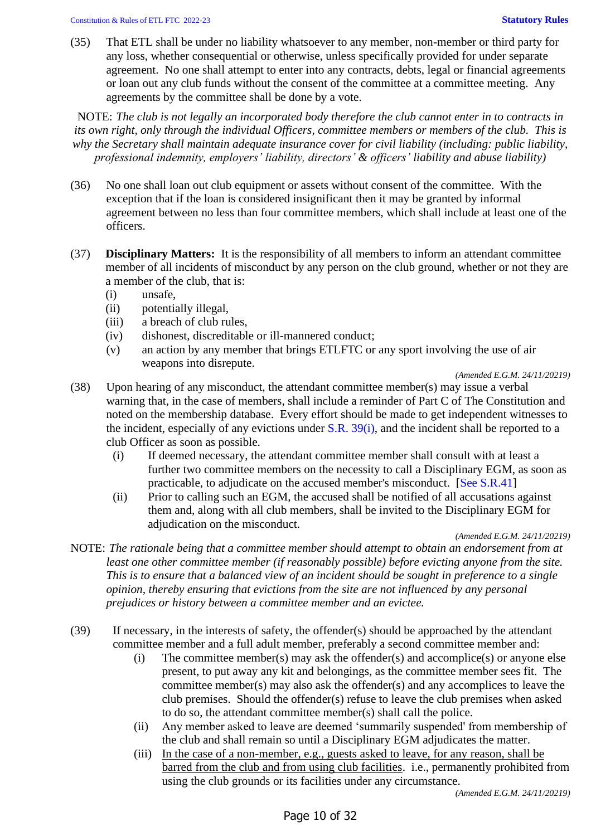(35) That ETL shall be under no liability whatsoever to any member, non-member or third party for any loss, whether consequential or otherwise, unless specifically provided for under separate agreement. No one shall attempt to enter into any contracts, debts, legal or financial agreements or loan out any club funds without the consent of the committee at a committee meeting. Any agreements by the committee shall be done by a vote.

NOTE: *The club is not legally an incorporated body therefore the club cannot enter in to contracts in its own right, only through the individual Officers, committee members or members of the club. This is why the Secretary shall maintain adequate insurance cover for civil liability (including: public liability, professional indemnity, employers' liability, directors' & officers' liability and abuse liability)*

- (36) No one shall loan out club equipment or assets without consent of the committee. With the exception that if the loan is considered insignificant then it may be granted by informal agreement between no less than four committee members, which shall include at least one of the officers.
- (37) **Disciplinary Matters:** It is the responsibility of all members to inform an attendant committee member of all incidents of misconduct by any person on the club ground, whether or not they are a member of the club, that is:
	- (i) unsafe,
	- (ii) potentially illegal,
	- (iii) a breach of club rules,
	- (iv) dishonest, discreditable or ill-mannered conduct;
	- (v) an action by any member that brings ETLFTC or any sport involving the use of air weapons into disrepute.

*(Amended E.G.M. 24/11/20219)*

- (38) Upon hearing of any misconduct, the attendant committee member(s) may issue a verbal warning that, in the case of members, shall include a reminder of Part C of The Constitution and noted on the membership database. Every effort should be made to get independent witnesses to the incident, especially of any evictions under  $S.R. 39(i)$ , and the incident shall be reported to a club Officer as soon as possible.
	- (i) If deemed necessary, the attendant committee member shall consult with at least a further two committee members on the necessity to call a Disciplinary EGM, as soon as practicable, to adjudicate on the accused member's misconduct. [See S.R.41]
	- (ii) Prior to calling such an EGM, the accused shall be notified of all accusations against them and, along with all club members, shall be invited to the Disciplinary EGM for adjudication on the misconduct.

#### *(Amended E.G.M. 24/11/20219)*

- NOTE: *The rationale being that a committee member should attempt to obtain an endorsement from at least one other committee member (if reasonably possible) before evicting anyone from the site. This is to ensure that a balanced view of an incident should be sought in preference to a single opinion, thereby ensuring that evictions from the site are not influenced by any personal prejudices or history between a committee member and an evictee.*
- (39) If necessary, in the interests of safety, the offender(s) should be approached by the attendant committee member and a full adult member, preferably a second committee member and:
	- (i) The committee member(s) may ask the offender(s) and accomplice(s) or anyone else present, to put away any kit and belongings, as the committee member sees fit. The committee member(s) may also ask the offender(s) and any accomplices to leave the club premises. Should the offender(s) refuse to leave the club premises when asked to do so, the attendant committee member(s) shall call the police.
	- (ii) Any member asked to leave are deemed 'summarily suspended' from membership of the club and shall remain so until a Disciplinary EGM adjudicates the matter.
	- (iii) In the case of a non-member, e.g., guests asked to leave, for any reason, shall be barred from the club and from using club facilities. i.e., permanently prohibited from using the club grounds or its facilities under any circumstance.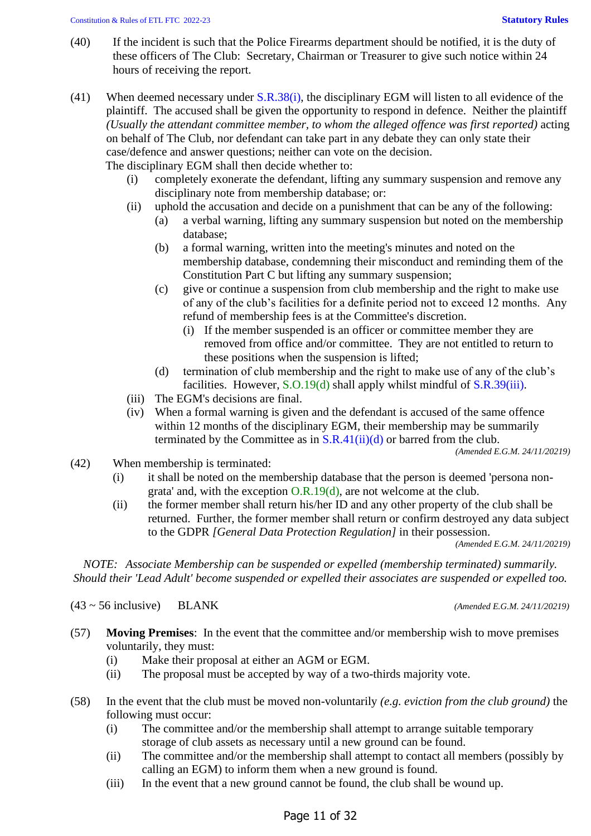- (40) If the incident is such that the Police Firearms department should be notified, it is the duty of these officers of The Club: Secretary, Chairman or Treasurer to give such notice within 24 hours of receiving the report.
- (41) When deemed necessary under S.R.38(i), the disciplinary EGM will listen to all evidence of the plaintiff. The accused shall be given the opportunity to respond in defence. Neither the plaintiff *(Usually the attendant committee member, to whom the alleged offence was first reported)* acting on behalf of The Club, nor defendant can take part in any debate they can only state their case/defence and answer questions; neither can vote on the decision.
	- The disciplinary EGM shall then decide whether to:
		- (i) completely exonerate the defendant, lifting any summary suspension and remove any disciplinary note from membership database; or:
		- (ii) uphold the accusation and decide on a punishment that can be any of the following:
			- (a) a verbal warning, lifting any summary suspension but noted on the membership database;
			- (b) a formal warning, written into the meeting's minutes and noted on the membership database, condemning their misconduct and reminding them of the Constitution Part C but lifting any summary suspension;
			- (c) give or continue a suspension from club membership and the right to make use of any of the club's facilities for a definite period not to exceed 12 months. Any refund of membership fees is at the Committee's discretion.
				- (i) If the member suspended is an officer or committee member they are removed from office and/or committee. They are not entitled to return to these positions when the suspension is lifted;
			- (d) termination of club membership and the right to make use of any of the club's facilities. However, S.O.19(d) shall apply whilst mindful of S.R.39(iii).
		- (iii) The EGM's decisions are final.
		- (iv) When a formal warning is given and the defendant is accused of the same offence within 12 months of the disciplinary EGM, their membership may be summarily terminated by the Committee as in  $S.R.41(ii)(d)$  or barred from the club.

*(Amended E.G.M. 24/11/20219)*

- (42) When membership is terminated:
	- (i) it shall be noted on the membership database that the person is deemed 'persona nongrata' and, with the exception O.R.19(d), are not welcome at the club.
	- (ii) the former member shall return his/her ID and any other property of the club shall be returned. Further, the former member shall return or confirm destroyed any data subject to the GDPR *[General Data Protection Regulation]* in their possession.

*NOTE: Associate Membership can be suspended or expelled (membership terminated) summarily. Should their 'Lead Adult' become suspended or expelled their associates are suspended or expelled too.*

(43 ~ 56 inclusive) BLANK *(Amended E.G.M. 24/11/20219)*

- (57) **Moving Premises**: In the event that the committee and/or membership wish to move premises voluntarily, they must:
	- (i) Make their proposal at either an AGM or EGM.
	- (ii) The proposal must be accepted by way of a two-thirds majority vote.
- (58) In the event that the club must be moved non-voluntarily *(e.g. eviction from the club ground)* the following must occur:
	- (i) The committee and/or the membership shall attempt to arrange suitable temporary storage of club assets as necessary until a new ground can be found.
	- (ii) The committee and/or the membership shall attempt to contact all members (possibly by calling an EGM) to inform them when a new ground is found.
	- (iii) In the event that a new ground cannot be found, the club shall be wound up.

*<sup>(</sup>Amended E.G.M. 24/11/20219)*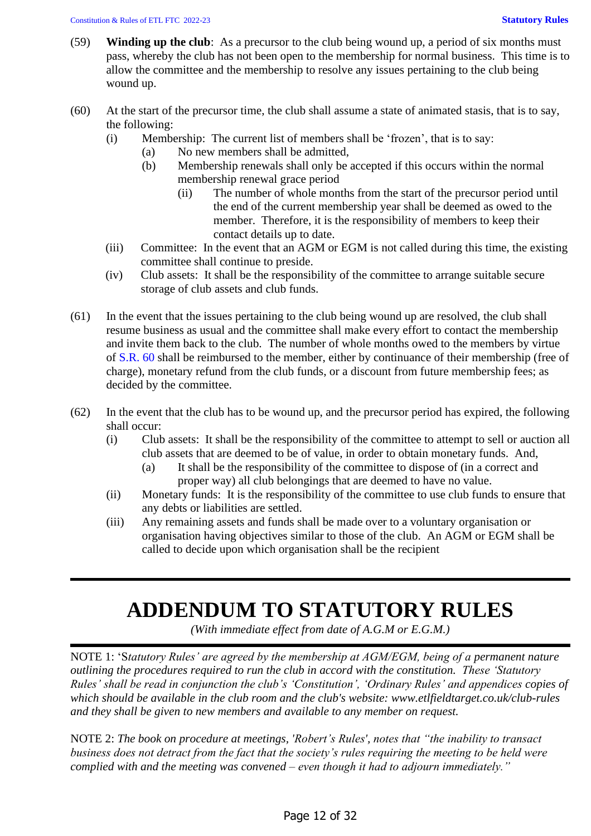- (59) **Winding up the club**: As a precursor to the club being wound up, a period of six months must pass, whereby the club has not been open to the membership for normal business. This time is to allow the committee and the membership to resolve any issues pertaining to the club being wound up.
- (60) At the start of the precursor time, the club shall assume a state of animated stasis, that is to say, the following:
	- (i) Membership: The current list of members shall be 'frozen', that is to say:
		- (a) No new members shall be admitted,
			- (b) Membership renewals shall only be accepted if this occurs within the normal membership renewal grace period
				- (ii) The number of whole months from the start of the precursor period until the end of the current membership year shall be deemed as owed to the member. Therefore, it is the responsibility of members to keep their contact details up to date.
	- (iii) Committee: In the event that an AGM or EGM is not called during this time, the existing committee shall continue to preside.
	- (iv) Club assets: It shall be the responsibility of the committee to arrange suitable secure storage of club assets and club funds.
- (61) In the event that the issues pertaining to the club being wound up are resolved, the club shall resume business as usual and the committee shall make every effort to contact the membership and invite them back to the club. The number of whole months owed to the members by virtue of S.R. 60 shall be reimbursed to the member, either by continuance of their membership (free of charge), monetary refund from the club funds, or a discount from future membership fees; as decided by the committee.
- (62) In the event that the club has to be wound up, and the precursor period has expired, the following shall occur:
	- (i) Club assets: It shall be the responsibility of the committee to attempt to sell or auction all club assets that are deemed to be of value, in order to obtain monetary funds. And,
		- (a) It shall be the responsibility of the committee to dispose of (in a correct and proper way) all club belongings that are deemed to have no value.
	- (ii) Monetary funds: It is the responsibility of the committee to use club funds to ensure that any debts or liabilities are settled.
	- (iii) Any remaining assets and funds shall be made over to a voluntary organisation or organisation having objectives similar to those of the club. An AGM or EGM shall be called to decide upon which organisation shall be the recipient

# **ADDENDUM TO STATUTORY RULES**

*(With immediate effect from date of A.G.M or E.G.M.)*

NOTE 1: 'S*tatutory Rules' are agreed by the membership at AGM/EGM, being of a permanent nature outlining the procedures required to run the club in accord with the constitution. These 'Statutory Rules' shall be read in conjunction the club's 'Constitution', 'Ordinary Rules' and appendices copies of which should be available in the club room and the club's website: www.etlfieldtarget.co.uk/club-rules and they shall be given to new members and available to any member on request.*

NOTE 2: *The book on procedure at meetings, 'Robert's Rules', notes that "the inability to transact business does not detract from the fact that the society's rules requiring the meeting to be held were complied with and the meeting was convened – even though it had to adjourn immediately."*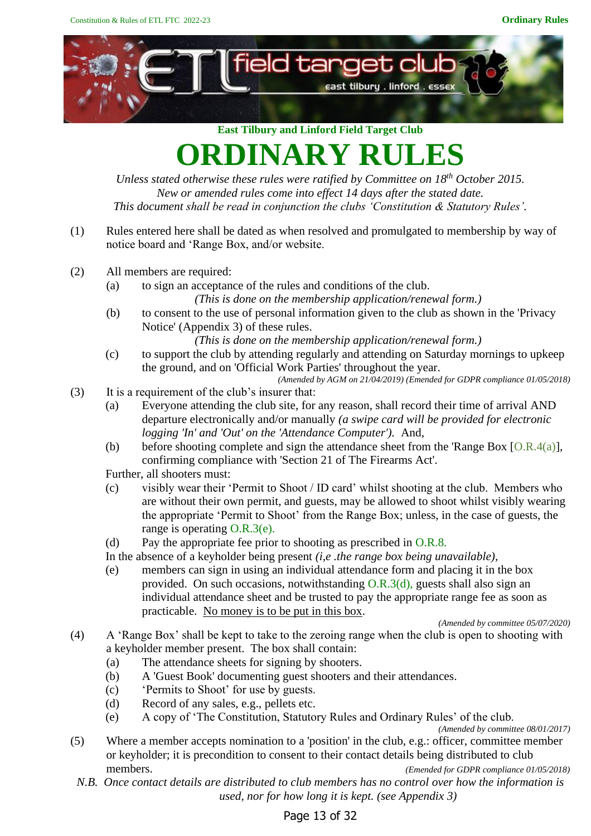

# **East Tilbury and Linford Field Target Club RDINARY RULES**

*Unless stated otherwise these rules were ratified by Committee on 18th October 2015. New or amended rules come into effect 14 days after the stated date. This document shall be read in conjunction the clubs 'Constitution & Statutory Rules'.*

- (1) Rules entered here shall be dated as when resolved and promulgated to membership by way of notice board and 'Range Box, and/or website.
- (2) All members are required:
	- (a) to sign an acceptance of the rules and conditions of the club.

*(This is done on the membership application/renewal form.)*

(b) to consent to the use of personal information given to the club as shown in the 'Privacy Notice' (Appendix 3) of these rules.

*(This is done on the membership application/renewal form.)*

- (c) to support the club by attending regularly and attending on Saturday mornings to upkeep the ground, and on 'Official Work Parties' throughout the year.
	- *(Amended by AGM on 21/04/2019) (Emended for GDPR compliance 01/05/2018)*
- (3) It is a requirement of the club's insurer that:
	- (a) Everyone attending the club site, for any reason, shall record their time of arrival AND departure electronically and/or manually *(a swipe card will be provided for electronic logging 'In' and 'Out' on the 'Attendance Computer').* And,
	- (b) before shooting complete and sign the attendance sheet from the 'Range Box [O.R.4(a)], confirming compliance with 'Section 21 of The Firearms Act'.

Further, all shooters must:

- (c) visibly wear their 'Permit to Shoot / ID card' whilst shooting at the club. Members who are without their own permit, and guests, may be allowed to shoot whilst visibly wearing the appropriate 'Permit to Shoot' from the Range Box; unless, in the case of guests, the range is operating O.R.3(e).
- (d) Pay the appropriate fee prior to shooting as prescribed in O.R.8.
- In the absence of a keyholder being present *(i,e .the range box being unavailable),*
- (e) members can sign in using an individual attendance form and placing it in the box provided. On such occasions, notwithstanding O.R.3(d), guests shall also sign an individual attendance sheet and be trusted to pay the appropriate range fee as soon as practicable. No money is to be put in this box.

*(Amended by committee 05/07/2020)*

- (4) A 'Range Box' shall be kept to take to the zeroing range when the club is open to shooting with a keyholder member present. The box shall contain:
	- (a) The attendance sheets for signing by shooters.
	- (b) A 'Guest Book' documenting guest shooters and their attendances.
	- (c) 'Permits to Shoot' for use by guests.
	- (d) Record of any sales, e.g., pellets etc.
	- (e) A copy of 'The Constitution, Statutory Rules and Ordinary Rules' of the club.

*(Amended by committee 08/01/2017)*

- (5) Where a member accepts nomination to a 'position' in the club, e.g.: officer, committee member or keyholder; it is precondition to consent to their contact details being distributed to club members. *(Emended for GDPR compliance 01/05/2018)*
- *N.B. Once contact details are distributed to club members has no control over how the information is used, nor for how long it is kept. (see Appendix 3)*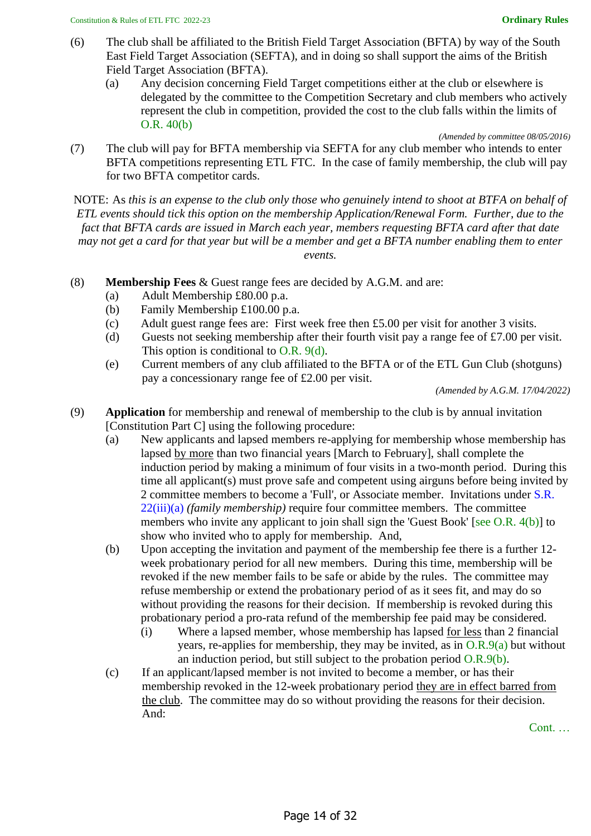- (6) The club shall be affiliated to the British Field Target Association (BFTA) by way of the South East Field Target Association (SEFTA), and in doing so shall support the aims of the British Field Target Association (BFTA).
	- (a) Any decision concerning Field Target competitions either at the club or elsewhere is delegated by the committee to the Competition Secretary and club members who actively represent the club in competition, provided the cost to the club falls within the limits of O.R. 40(b)

*(Amended by committee 08/05/2016)*

(7) The club will pay for BFTA membership via SEFTA for any club member who intends to enter BFTA competitions representing ETL FTC. In the case of family membership, the club will pay for two BFTA competitor cards.

NOTE: As *this is an expense to the club only those who genuinely intend to shoot at BTFA on behalf of ETL events should tick this option on the membership Application/Renewal Form. Further, due to the fact that BFTA cards are issued in March each year, members requesting BFTA card after that date may not get a card for that year but will be a member and get a BFTA number enabling them to enter events.*

- (8) **Membership Fees** & Guest range fees are decided by A.G.M. and are:
	- (a) Adult Membership £80.00 p.a.
	- (b) Family Membership £100.00 p.a.
	- (c) Adult guest range fees are: First week free then £5.00 per visit for another 3 visits.
	- (d) Guests not seeking membership after their fourth visit pay a range fee of £7.00 per visit. This option is conditional to O.R. 9(d).
	- (e) Current members of any club affiliated to the BFTA or of the ETL Gun Club (shotguns) pay a concessionary range fee of £2.00 per visit.

*(Amended by A.G.M. 17/04/2022)*

- (9) **Application** for membership and renewal of membership to the club is by annual invitation [Constitution Part C] using the following procedure:
	- (a) New applicants and lapsed members re-applying for membership whose membership has lapsed by more than two financial years [March to February], shall complete the induction period by making a minimum of four visits in a two-month period. During this time all applicant(s) must prove safe and competent using airguns before being invited by 2 committee members to become a 'Full', or Associate member. Invitations under S.R. 22(iii)(a) *(family membership)* require four committee members. The committee members who invite any applicant to join shall sign the 'Guest Book' [see O.R. 4(b)] to show who invited who to apply for membership. And,
	- (b) Upon accepting the invitation and payment of the membership fee there is a further 12 week probationary period for all new members. During this time, membership will be revoked if the new member fails to be safe or abide by the rules. The committee may refuse membership or extend the probationary period of as it sees fit, and may do so without providing the reasons for their decision. If membership is revoked during this probationary period a pro-rata refund of the membership fee paid may be considered*.*
		- (i) Where a lapsed member, whose membership has lapsed for less than 2 financial years, re-applies for membership, they may be invited, as in O.R.9(a) but without an induction period, but still subject to the probation period O.R.9(b).
	- (c) If an applicant/lapsed member is not invited to become a member, or has their membership revoked in the 12-week probationary period they are in effect barred from the club. The committee may do so without providing the reasons for their decision. And:

Cont. …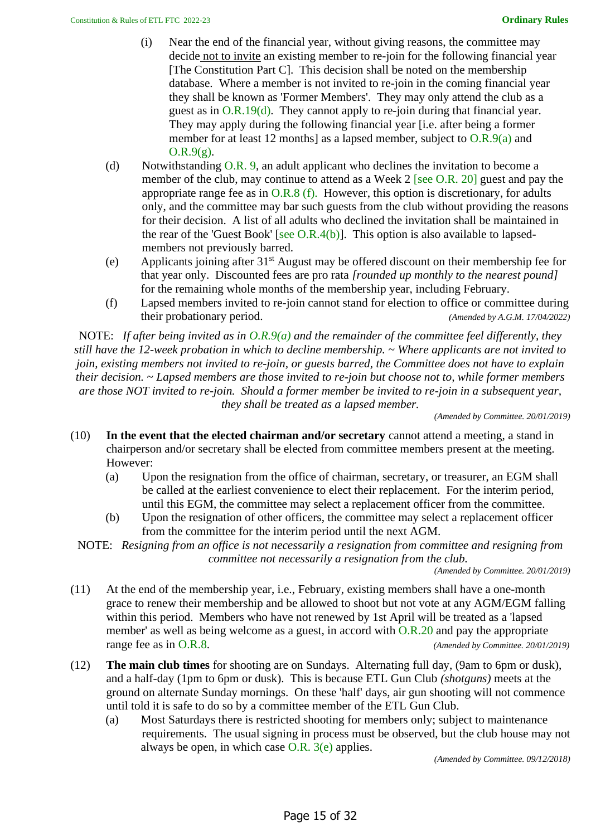- (i) Near the end of the financial year, without giving reasons, the committee may decide not to invite an existing member to re-join for the following financial year [The Constitution Part C]. This decision shall be noted on the membership database. Where a member is not invited to re-join in the coming financial year they shall be known as 'Former Members'. They may only attend the club as a guest as in O.R.19(d). They cannot apply to re-join during that financial year. They may apply during the following financial year [i.e. after being a former member for at least 12 months] as a lapsed member, subject to  $O.R.9(a)$  and  $O.R.9(g)$ .
- (d) Notwithstanding  $O.R. 9$ , an adult applicant who declines the invitation to become a member of the club, may continue to attend as a Week 2 [see O.R. 20] guest and pay the appropriate range fee as in  $O.R.8$  (f). However, this option is discretionary, for adults only, and the committee may bar such guests from the club without providing the reasons for their decision. A list of all adults who declined the invitation shall be maintained in the rear of the 'Guest Book' [see O.R.4(b)]. This option is also available to lapsedmembers not previously barred.
- (e) Applicants joining after 31st August may be offered discount on their membership fee for that year only. Discounted fees are pro rata *[rounded up monthly to the nearest pound]* for the remaining whole months of the membership year, including February.
- (f) Lapsed members invited to re-join cannot stand for election to office or committee during their probationary period. *(Amended by A.G.M. 17/04/2022)*

NOTE: *If after being invited as in O.R.9(a) and the remainder of the committee feel differently, they still have the 12-week probation in which to decline membership. ~ Where applicants are not invited to join, existing members not invited to re-join, or guests barred, the Committee does not have to explain their decision.* ~ *Lapsed members are those invited to re-join but choose not to, while former members are those NOT invited to re-join. Should a former member be invited to re-join in a subsequent year, they shall be treated as a lapsed member.*

*(Amended by Committee. 20/01/2019)*

- (10) **In the event that the elected chairman and/or secretary** cannot attend a meeting, a stand in chairperson and/or secretary shall be elected from committee members present at the meeting. However:
	- (a) Upon the resignation from the office of chairman, secretary, or treasurer, an EGM shall be called at the earliest convenience to elect their replacement. For the interim period, until this EGM, the committee may select a replacement officer from the committee.
	- (b) Upon the resignation of other officers, the committee may select a replacement officer from the committee for the interim period until the next AGM.

NOTE: *Resigning from an office is not necessarily a resignation from committee and resigning from committee not necessarily a resignation from the club.*

*(Amended by Committee. 20/01/2019)*

- (11) At the end of the membership year, i.e., February, existing members shall have a one-month grace to renew their membership and be allowed to shoot but not vote at any AGM/EGM falling within this period. Members who have not renewed by 1st April will be treated as a 'lapsed member' as well as being welcome as a guest, in accord with O.R.20 and pay the appropriate range fee as in O.R.8. *(Amended by Committee. 20/01/2019)*
- (12) **The main club times** for shooting are on Sundays. Alternating full day, (9am to 6pm or dusk), and a half-day (1pm to 6pm or dusk). This is because ETL Gun Club *(shotguns)* meets at the ground on alternate Sunday mornings. On these 'half' days, air gun shooting will not commence until told it is safe to do so by a committee member of the ETL Gun Club.
	- (a) Most Saturdays there is restricted shooting for members only; subject to maintenance requirements. The usual signing in process must be observed, but the club house may not always be open, in which case O.R. 3(e) applies.

*(Amended by Committee. 09/12/2018)*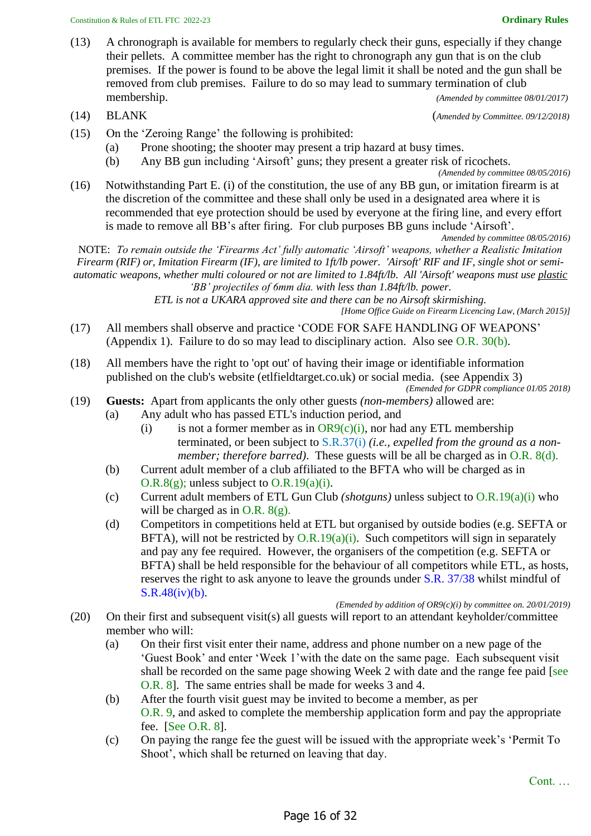- (13) A chronograph is available for members to regularly check their guns, especially if they change their pellets. A committee member has the right to chronograph any gun that is on the club premises. If the power is found to be above the legal limit it shall be noted and the gun shall be removed from club premises. Failure to do so may lead to summary termination of club membership. *(Amended by committee 08/01/2017)*
- 

(14) BLANK (*Amended by Committee. 09/12/2018)*

- (15) On the 'Zeroing Range' the following is prohibited:
	- (a) Prone shooting; the shooter may present a trip hazard at busy times.
	- (b) Any BB gun including 'Airsoft' guns; they present a greater risk of ricochets.

*(Amended by committee 08/05/2016)*

(16) Notwithstanding Part E. (i) of the constitution, the use of any BB gun, or imitation firearm is at the discretion of the committee and these shall only be used in a designated area where it is recommended that eye protection should be used by everyone at the firing line, and every effort is made to remove all BB's after firing. For club purposes BB guns include 'Airsoft'.

*Amended by committee 08/05/2016)*

NOTE: *To remain outside the 'Firearms Act' fully automatic 'Airsoft' weapons, whether a Realistic Imitation Firearm (RIF) or, Imitation Firearm (IF), are limited to 1ft/lb power. 'Airsoft' RIF and IF, single shot or semiautomatic weapons, whether multi coloured or not are limited to 1.84ft/lb. All 'Airsoft' weapons must use plastic 'BB' projectiles of 6mm dia. with less than 1.84ft/lb. power.*

*ETL is not a UKARA approved site and there can be no Airsoft skirmishing.*

*[Home Office Guide on Firearm Licencing Law, (March 2015)]*

- (17) All members shall observe and practice 'CODE FOR SAFE HANDLING OF WEAPONS' (Appendix 1). Failure to do so may lead to disciplinary action. Also see  $O.R. 30(b)$ .
- (18) All members have the right to 'opt out' of having their image or identifiable information published on the club's website (etlfieldtarget.co.uk) or social media. (see Appendix 3) *(Emended for GDPR compliance 01/05 2018)*
- (19) **Guests:** Apart from applicants the only other guests *(non-members)* allowed are:
	- (a) Any adult who has passed ETL's induction period, and
		- (i) is not a former member as in  $OR9(c)(i)$ , nor had any ETL membership terminated, or been subject to S.R.37(i) *(i.e., expelled from the ground as a nonmember; therefore barred)*. These guests will be all be charged as in O.R. 8(d).
	- (b) Current adult member of a club affiliated to the BFTA who will be charged as in O.R.8(g); unless subject to O.R.19(a)(i).
	- (c) Current adult members of ETL Gun Club *(shotguns)* unless subject to O.R.19(a)(i) who will be charged as in O.R.  $8(g)$ .
	- (d) Competitors in competitions held at ETL but organised by outside bodies (e.g. SEFTA or BFTA), will not be restricted by  $O.R.19(a)(i)$ . Such competitors will sign in separately and pay any fee required. However, the organisers of the competition (e.g. SEFTA or BFTA) shall be held responsible for the behaviour of all competitors while ETL, as hosts, reserves the right to ask anyone to leave the grounds under S.R. 37/38 whilst mindful of S.R.48(iv)(b).

*(Emended by addition of OR9(c)(i) by committee on. 20/01/2019)*

- (20) On their first and subsequent visit(s) all guests will report to an attendant keyholder/committee member who will:
	- (a) On their first visit enter their name, address and phone number on a new page of the 'Guest Book' and enter 'Week 1'with the date on the same page. Each subsequent visit shall be recorded on the same page showing Week 2 with date and the range fee paid [see O.R. 8]. The same entries shall be made for weeks 3 and 4.
	- (b) After the fourth visit guest may be invited to become a member, as per O.R. 9, and asked to complete the membership application form and pay the appropriate fee. [See O.R. 8].
	- (c) On paying the range fee the guest will be issued with the appropriate week's 'Permit To Shoot', which shall be returned on leaving that day.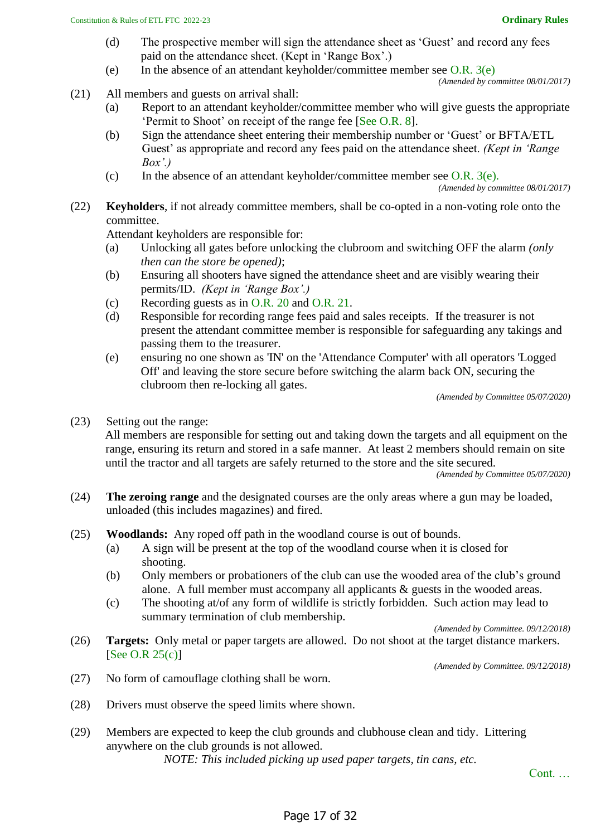- (d) The prospective member will sign the attendance sheet as 'Guest' and record any fees paid on the attendance sheet. (Kept in 'Range Box'.)
- (e) In the absence of an attendant keyholder/committee member see  $O.R. 3(e)$ *(Amended by committee 08/01/2017)*
- (21) All members and guests on arrival shall:
	- (a) Report to an attendant keyholder/committee member who will give guests the appropriate 'Permit to Shoot' on receipt of the range fee [See O.R. 8].
	- (b) Sign the attendance sheet entering their membership number or 'Guest' or BFTA/ETL Guest' as appropriate and record any fees paid on the attendance sheet. *(Kept in 'Range Box'.)*
	- (c) In the absence of an attendant keyholder/committee member see  $O.R. 3(e)$ .

*(Amended by committee 08/01/2017)*

(22) **Keyholders**, if not already committee members, shall be co-opted in a non-voting role onto the committee.

Attendant keyholders are responsible for:

- (a) Unlocking all gates before unlocking the clubroom and switching OFF the alarm *(only then can the store be opened)*;
- (b) Ensuring all shooters have signed the attendance sheet and are visibly wearing their permits/ID. *(Kept in 'Range Box'.)*
- (c) Recording guests as in O.R. 20 and O.R. 21.
- (d) Responsible for recording range fees paid and sales receipts. If the treasurer is not present the attendant committee member is responsible for safeguarding any takings and passing them to the treasurer.
- (e) ensuring no one shown as 'IN' on the 'Attendance Computer' with all operators 'Logged Off' and leaving the store secure before switching the alarm back ON, securing the clubroom then re-locking all gates.

*(Amended by Committee 05/07/2020)*

(23) Setting out the range:

All members are responsible for setting out and taking down the targets and all equipment on the range, ensuring its return and stored in a safe manner. At least 2 members should remain on site until the tractor and all targets are safely returned to the store and the site secured.

*(Amended by Committee 05/07/2020)*

- (24) **The zeroing range** and the designated courses are the only areas where a gun may be loaded, unloaded (this includes magazines) and fired.
- (25) **Woodlands:** Any roped off path in the woodland course is out of bounds.
	- (a) A sign will be present at the top of the woodland course when it is closed for shooting.
	- (b) Only members or probationers of the club can use the wooded area of the club's ground alone. A full member must accompany all applicants & guests in the wooded areas.
	- (c) The shooting at/of any form of wildlife is strictly forbidden. Such action may lead to summary termination of club membership.

*(Amended by Committee. 09/12/2018)*

(26) **Targets:** Only metal or paper targets are allowed. Do not shoot at the target distance markers. [See O.R  $25(c)$ ]

*(Amended by Committee. 09/12/2018)*

- (27) No form of camouflage clothing shall be worn.
- (28) Drivers must observe the speed limits where shown.
- (29) Members are expected to keep the club grounds and clubhouse clean and tidy. Littering anywhere on the club grounds is not allowed. *NOTE: This included picking up used paper targets, tin cans, etc.*

Cont. …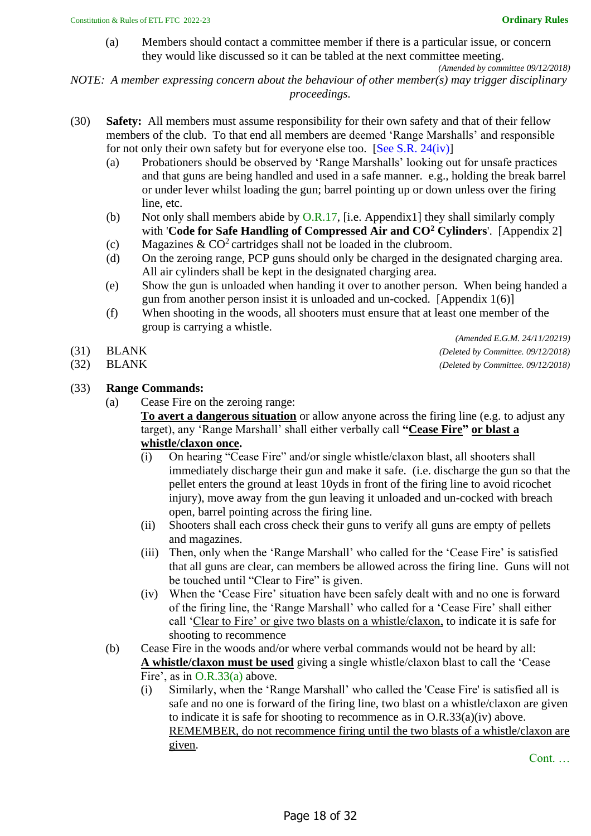(a) Members should contact a committee member if there is a particular issue, or concern they would like discussed so it can be tabled at the next committee meeting.

*(Amended by committee 09/12/2018)*

 *(Amended E.G.M. 24/11/20219)*

*NOTE: A member expressing concern about the behaviour of other member(s) may trigger disciplinary proceedings.*

- (30) **Safety:** All members must assume responsibility for their own safety and that of their fellow members of the club. To that end all members are deemed 'Range Marshalls' and responsible for not only their own safety but for everyone else too.  $[See S.R. 24(iv)]$ 
	- (a) Probationers should be observed by 'Range Marshalls' looking out for unsafe practices and that guns are being handled and used in a safe manner. e.g., holding the break barrel or under lever whilst loading the gun; barrel pointing up or down unless over the firing line, etc.
	- (b) Not only shall members abide by  $O.R.17$ , [i.e. Appendix1] they shall similarly comply with '**Code for Safe Handling of Compressed Air and CO<sup>2</sup> Cylinders**'. [Appendix 2]
	- (c) Magazines  $&\mathrm{CO}^2$  cartridges shall not be loaded in the clubroom.
	- (d) On the zeroing range, PCP guns should only be charged in the designated charging area. All air cylinders shall be kept in the designated charging area.
	- (e) Show the gun is unloaded when handing it over to another person. When being handed a gun from another person insist it is unloaded and un-cocked. [Appendix 1(6)]
	- (f) When shooting in the woods, all shooters must ensure that at least one member of the group is carrying a whistle.

(31) BLANK *(Deleted by Committee. 09/12/2018)*

(32) BLANK *(Deleted by Committee. 09/12/2018)*

### (33) **Range Commands:**

(a) Cease Fire on the zeroing range:

**To avert a dangerous situation** or allow anyone across the firing line (e.g. to adjust any target), any 'Range Marshall' shall either verbally call **"Cease Fire" or blast a whistle/claxon once.**

- (i) On hearing "Cease Fire" and/or single whistle/claxon blast, all shooters shall immediately discharge their gun and make it safe. (i.e. discharge the gun so that the pellet enters the ground at least 10yds in front of the firing line to avoid ricochet injury), move away from the gun leaving it unloaded and un-cocked with breach open, barrel pointing across the firing line.
- (ii) Shooters shall each cross check their guns to verify all guns are empty of pellets and magazines.
- (iii) Then, only when the 'Range Marshall' who called for the 'Cease Fire' is satisfied that all guns are clear, can members be allowed across the firing line. Guns will not be touched until "Clear to Fire" is given.
- (iv) When the 'Cease Fire' situation have been safely dealt with and no one is forward of the firing line, the 'Range Marshall' who called for a 'Cease Fire' shall either call 'Clear to Fire' or give two blasts on a whistle/claxon, to indicate it is safe for shooting to recommence
- (b) Cease Fire in the woods and/or where verbal commands would not be heard by all: **A whistle/claxon must be used** giving a single whistle/claxon blast to call the 'Cease Fire', as in O.R.33(a) above.
	- (i) Similarly, when the 'Range Marshall' who called the 'Cease Fire' is satisfied all is safe and no one is forward of the firing line, two blast on a whistle/claxon are given to indicate it is safe for shooting to recommence as in O.R.33(a)(iv) above. REMEMBER, do not recommence firing until the two blasts of a whistle/claxon are given.

Cont. …

Page 18 of 32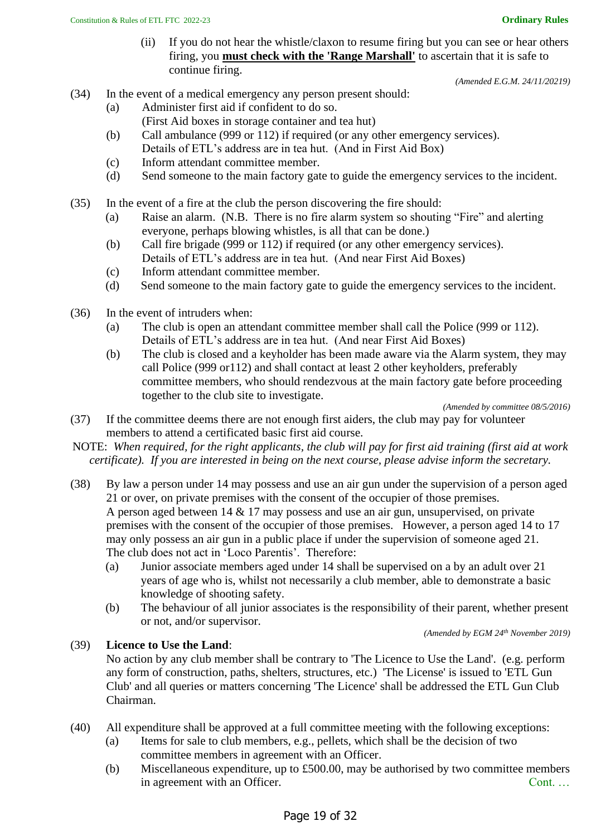(ii) If you do not hear the whistle/claxon to resume firing but you can see or hear others firing, you **must check with the 'Range Marshall'** to ascertain that it is safe to continue firing.

*(Amended E.G.M. 24/11/20219)*

- (34) In the event of a medical emergency any person present should:
	- (a) Administer first aid if confident to do so.
		- (First Aid boxes in storage container and tea hut)
	- (b) Call ambulance (999 or 112) if required (or any other emergency services). Details of ETL's address are in tea hut. (And in First Aid Box)
	- (c) Inform attendant committee member.
	- (d) Send someone to the main factory gate to guide the emergency services to the incident.
- (35) In the event of a fire at the club the person discovering the fire should:
	- (a) Raise an alarm. (N.B. There is no fire alarm system so shouting "Fire" and alerting everyone, perhaps blowing whistles, is all that can be done.)
	- (b) Call fire brigade (999 or 112) if required (or any other emergency services). Details of ETL's address are in tea hut. (And near First Aid Boxes)
	- (c) Inform attendant committee member.
	- (d) Send someone to the main factory gate to guide the emergency services to the incident.
- (36) In the event of intruders when:
	- (a) The club is open an attendant committee member shall call the Police (999 or 112). Details of ETL's address are in tea hut. (And near First Aid Boxes)
	- (b) The club is closed and a keyholder has been made aware via the Alarm system, they may call Police (999 or112) and shall contact at least 2 other keyholders, preferably committee members, who should rendezvous at the main factory gate before proceeding together to the club site to investigate.

*(Amended by committee 08/5/2016)*

- (37) If the committee deems there are not enough first aiders, the club may pay for volunteer members to attend a certificated basic first aid course.
- NOTE: When required, for the right applicants, the club will pay for first aid training (first aid at work *certificate). If you are interested in being on the next course, please advise inform the secretary.*
- (38) By law a person under 14 may possess and use an air gun under the supervision of a person aged 21 or over, on private premises with the consent of the occupier of those premises. A person aged between  $14 \& 17$  may possess and use an air gun, unsupervised, on private premises with the consent of the occupier of those premises. However, a person aged 14 to 17 may only possess an air gun in a public place if under the supervision of someone aged 21. The club does not act in 'Loco Parentis'. Therefore:
	- (a) Junior associate members aged under 14 shall be supervised on a by an adult over 21 years of age who is, whilst not necessarily a club member, able to demonstrate a basic knowledge of shooting safety.
	- (b) The behaviour of all junior associates is the responsibility of their parent, whether present or not, and/or supervisor.

*(Amended by EGM 24th November 2019)*

### (39) **Licence to Use the Land**:

No action by any club member shall be contrary to 'The Licence to Use the Land'. (e.g. perform any form of construction, paths, shelters, structures, etc.) 'The License' is issued to 'ETL Gun Club' and all queries or matters concerning 'The Licence' shall be addressed the ETL Gun Club Chairman.

- (40) All expenditure shall be approved at a full committee meeting with the following exceptions:
	- (a) Items for sale to club members, e.g., pellets, which shall be the decision of two committee members in agreement with an Officer.
	- (b) Miscellaneous expenditure, up to £500.00, may be authorised by two committee members in agreement with an Officer. Cont. …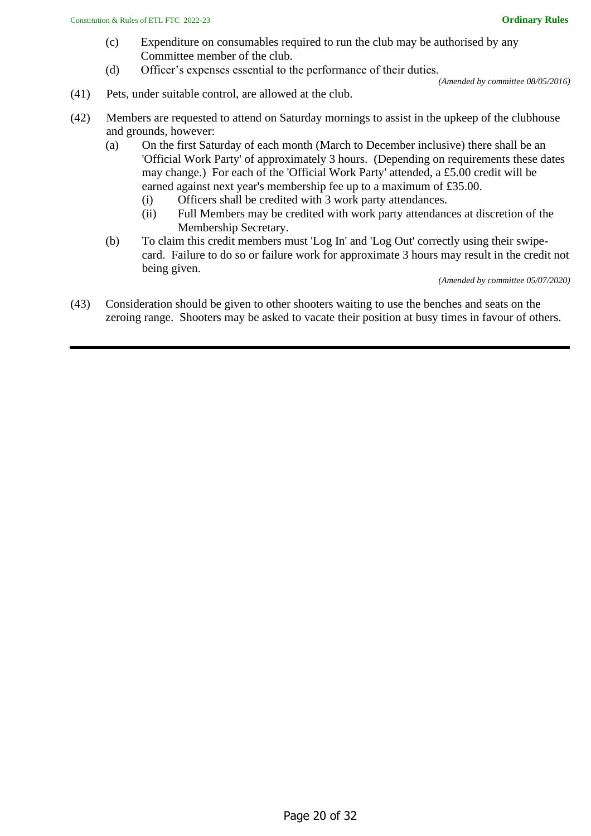- (c) Expenditure on consumables required to run the club may be authorised by any Committee member of the club.
- (d) Officer's expenses essential to the performance of their duties. *(Amended by committee 08/05/2016)*
- (41) Pets, under suitable control, are allowed at the club.
- (42) Members are requested to attend on Saturday mornings to assist in the upkeep of the clubhouse and grounds, however:
	- (a) On the first Saturday of each month (March to December inclusive) there shall be an 'Official Work Party' of approximately 3 hours. (Depending on requirements these dates may change.) For each of the 'Official Work Party' attended, a £5.00 credit will be earned against next year's membership fee up to a maximum of £35.00.
		- (i) Officers shall be credited with 3 work party attendances.
		- (ii) Full Members may be credited with work party attendances at discretion of the Membership Secretary.
	- (b) To claim this credit members must 'Log In' and 'Log Out' correctly using their swipecard. Failure to do so or failure work for approximate 3 hours may result in the credit not being given.

*(Amended by committee 05/07/2020)*

(43) Consideration should be given to other shooters waiting to use the benches and seats on the zeroing range. Shooters may be asked to vacate their position at busy times in favour of others.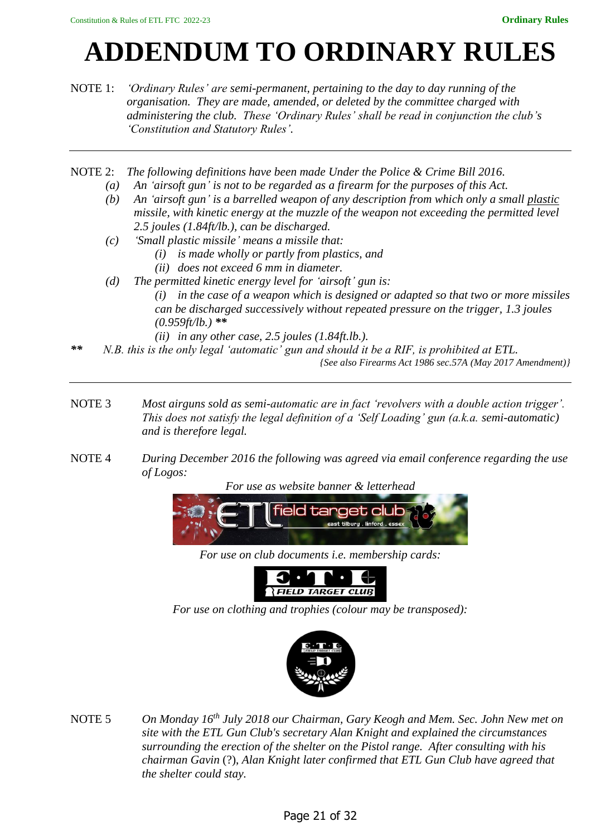# **ADDENDUM TO ORDINARY RULES**

- NOTE 1: *'Ordinary Rules' are semi-permanent, pertaining to the day to day running of the organisation. They are made, amended, or deleted by the committee charged with administering the club. These 'Ordinary Rules' shall be read in conjunction the club's 'Constitution and Statutory Rules'.*
- NOTE 2: *The following definitions have been made Under the Police & Crime Bill 2016.*
	- *(a) An 'airsoft gun' is not to be regarded as a firearm for the purposes of this Act.*
	- *(b) An 'airsoft gun' is a barrelled weapon of any description from which only a small plastic missile, with kinetic energy at the muzzle of the weapon not exceeding the permitted level 2.5 joules (1.84ft/lb.), can be discharged.*
	- *(c) 'Small plastic missile' means a missile that:*
		- *(i) is made wholly or partly from plastics, and*
		- *(ii) does not exceed 6 mm in diameter.*
	- *(d) The permitted kinetic energy level for 'airsoft' gun is:*
		- *(i) in the case of a weapon which is designed or adapted so that two or more missiles can be discharged successively without repeated pressure on the trigger, 1.3 joules (0.959ft/lb.) \*\**
		- *(ii) in any other case, 2.5 joules (1.84ft.lb.).*
- *\*\* N.B. this is the only legal 'automatic' gun and should it be a RIF, is prohibited at ETL. {See also Firearms Act 1986 sec.57A (May 2017 Amendment)}*
- NOTE 3 *Most airguns sold as semi-automatic are in fact 'revolvers with a double action trigger'. This does not satisfy the legal definition of a 'Self Loading' gun (a.k.a. semi-automatic) and is therefore legal.*
- NOTE 4 *During December 2016 the following was agreed via email conference regarding the use of Logos:*

*For use as website banner & letterhead*



*For use on club documents i.e. membership cards:*



*For use on clothing and trophies (colour may be transposed):*



NOTE 5 *On Monday 16th July 2018 our Chairman, Gary Keogh and Mem. Sec. John New met on site with the ETL Gun Club's secretary Alan Knight and explained the circumstances surrounding the erection of the shelter on the Pistol range. After consulting with his chairman Gavin* (?), *Alan Knight later confirmed that ETL Gun Club have agreed that the shelter could stay.*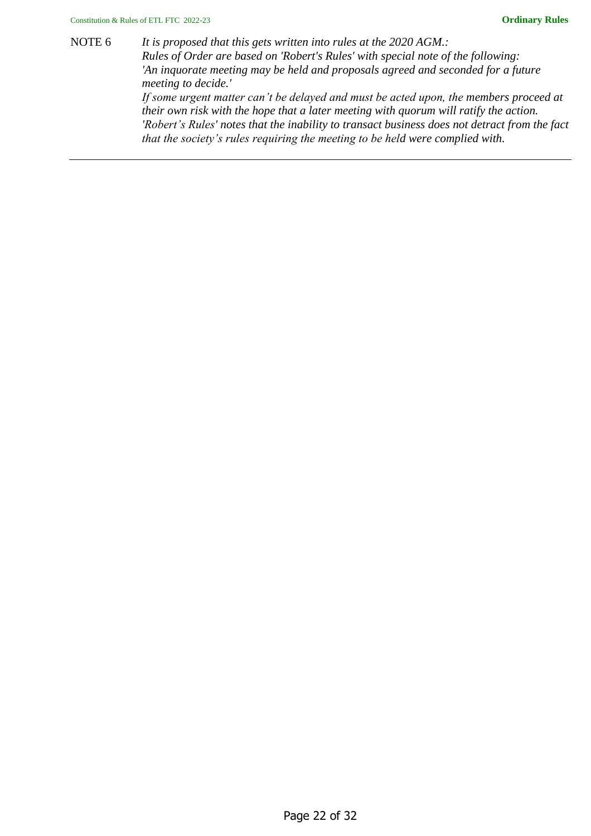NOTE 6 *It is proposed that this gets written into rules at the 2020 AGM.: Rules of Order are based on 'Robert's Rules' with special note of the following: 'An inquorate meeting may be held and proposals agreed and seconded for a future meeting to decide.' If some urgent matter can't be delayed and must be acted upon, the members proceed at* 

*their own risk with the hope that a later meeting with quorum will ratify the action. 'Robert's Rules' notes that the inability to transact business does not detract from the fact that the society's rules requiring the meeting to be held were complied with.*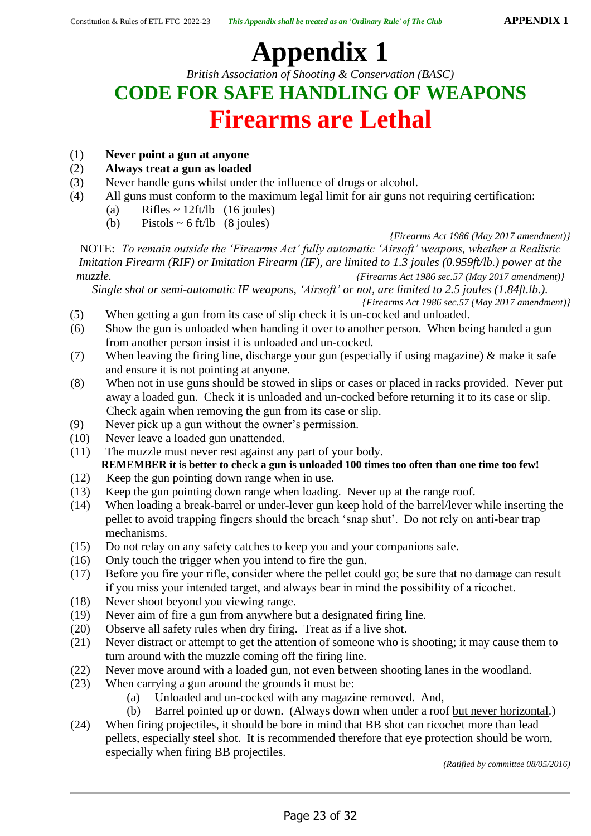*British Association of Shooting & Conservation (BASC)*

# **CODE FOR SAFE HANDLING OF WEAPONS Firearms are Lethal**

### (1) **Never point a gun at anyone**

- (2) **Always treat a gun as loaded**
- (3) Never handle guns whilst under the influence of drugs or alcohol.
- (4) All guns must conform to the maximum legal limit for air guns not requiring certification:
	- (a) Rifles  $\sim$  12ft/lb (16 joules)
	- (b) Pistols  $\sim$  6 ft/lb (8 joules)

*{Firearms Act 1986 (May 2017 amendment)}* NOTE: *To remain outside the 'Firearms Act' fully automatic 'Airsoft' weapons, whether a Realistic Imitation Firearm (RIF) or Imitation Firearm (IF), are limited to 1.3 joules (0.959ft/lb.) power at the muzzle. {Firearms Act 1986 sec.57 (May 2017 amendment)}*

*Single shot or semi-automatic IF weapons, 'Airsoft' or not, are limited to 2.5 joules (1.84ft.lb.). {Firearms Act 1986 sec.57 (May 2017 amendment)}*

- (5) When getting a gun from its case of slip check it is un-cocked and unloaded.
- (6) Show the gun is unloaded when handing it over to another person. When being handed a gun from another person insist it is unloaded and un-cocked.
- (7) When leaving the firing line, discharge your gun (especially if using magazine)  $\&$  make it safe and ensure it is not pointing at anyone.
- (8) When not in use guns should be stowed in slips or cases or placed in racks provided. Never put away a loaded gun. Check it is unloaded and un-cocked before returning it to its case or slip. Check again when removing the gun from its case or slip.
- (9) Never pick up a gun without the owner's permission.
- (10) Never leave a loaded gun unattended.
- (11) The muzzle must never rest against any part of your body.

### **REMEMBER it is better to check a gun is unloaded 100 times too often than one time too few!**

- (12) Keep the gun pointing down range when in use.
- (13) Keep the gun pointing down range when loading. Never up at the range roof.
- (14) When loading a break-barrel or under-lever gun keep hold of the barrel/lever while inserting the pellet to avoid trapping fingers should the breach 'snap shut'. Do not rely on anti-bear trap mechanisms.
- (15) Do not relay on any safety catches to keep you and your companions safe.
- (16) Only touch the trigger when you intend to fire the gun.
- (17) Before you fire your rifle, consider where the pellet could go; be sure that no damage can result if you miss your intended target, and always bear in mind the possibility of a ricochet.
- (18) Never shoot beyond you viewing range.
- (19) Never aim of fire a gun from anywhere but a designated firing line.
- (20) Observe all safety rules when dry firing. Treat as if a live shot.
- (21) Never distract or attempt to get the attention of someone who is shooting; it may cause them to turn around with the muzzle coming off the firing line.
- (22) Never move around with a loaded gun, not even between shooting lanes in the woodland.
- (23) When carrying a gun around the grounds it must be:
	- (a) Unloaded and un-cocked with any magazine removed. And,
	- (b) Barrel pointed up or down. (Always down when under a roof but never horizontal.)
- (24) When firing projectiles, it should be bore in mind that BB shot can ricochet more than lead pellets, especially steel shot. It is recommended therefore that eye protection should be worn, especially when firing BB projectiles.

*(Ratified by committee 08/05/2016)*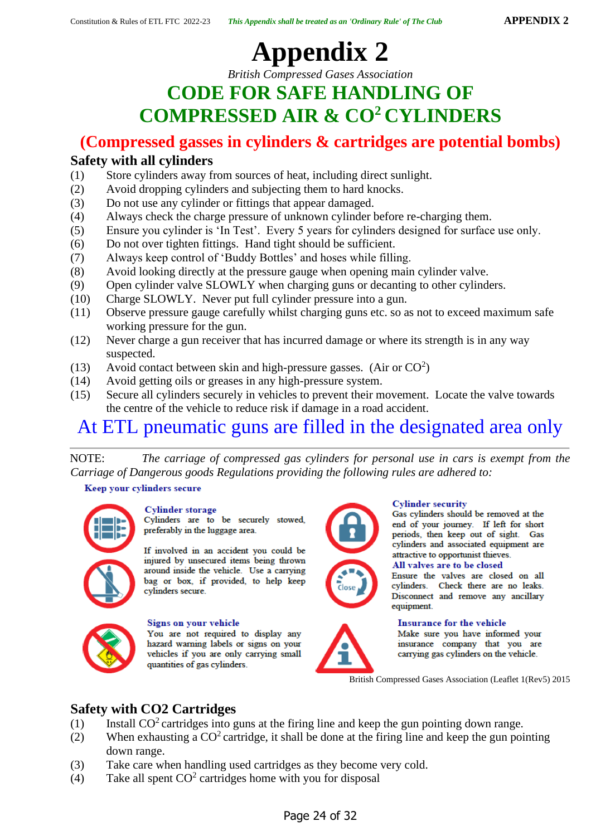*British Compressed Gases Association*

### **CODE FOR SAFE HANDLING OF COMPRESSED AIR & CO<sup>2</sup>CYLINDERS**

### **(Compressed gasses in cylinders & cartridges are potential bombs)**

### **Safety with all cylinders**

- (1) Store cylinders away from sources of heat, including direct sunlight.
- (2) Avoid dropping cylinders and subjecting them to hard knocks.
- (3) Do not use any cylinder or fittings that appear damaged.
- (4) Always check the charge pressure of unknown cylinder before re-charging them.
- (5) Ensure you cylinder is 'In Test'. Every 5 years for cylinders designed for surface use only.
- (6) Do not over tighten fittings. Hand tight should be sufficient.
- (7) Always keep control of 'Buddy Bottles' and hoses while filling.
- (8) Avoid looking directly at the pressure gauge when opening main cylinder valve.
- (9) Open cylinder valve SLOWLY when charging guns or decanting to other cylinders.
- (10) Charge SLOWLY. Never put full cylinder pressure into a gun.
- (11) Observe pressure gauge carefully whilst charging guns etc. so as not to exceed maximum safe working pressure for the gun.
- (12) Never charge a gun receiver that has incurred damage or where its strength is in any way suspected.
- (13) Avoid contact between skin and high-pressure gasses. (Air or  $CO<sup>2</sup>$ )
- (14) Avoid getting oils or greases in any high-pressure system.
- (15) Secure all cylinders securely in vehicles to prevent their movement. Locate the valve towards the centre of the vehicle to reduce risk if damage in a road accident.

### At ETL pneumatic guns are filled in the designated area only

NOTE: *The carriage of compressed gas cylinders for personal use in cars is exempt from the Carriage of Dangerous goods Regulations providing the following rules are adhered to:*

### Keep your cylinders secure



#### **Cylinder storage** Cylinders are to be securely stowed, preferably in the luggage area.

If involved in an accident you could be injured by unsecured items being thrown around inside the vehicle. Use a carrying bag or box, if provided, to help keep cylinders secure.



### **Signs on your vehicle**

You are not required to display any hazard warning labels or signs on your vehicles if you are only carrying small quantities of gas cylinders.



### **Cylinder security**

Gas cylinders should be removed at the end of your journey. If left for short periods, then keep out of sight. Gas cylinders and associated equipment are attractive to opportunist thieves.

#### All valves are to be closed

Ensure the valves are closed on all cylinders. Check there are no leaks. Disconnect and remove any ancillary equipment.

### **Insurance for the vehicle**

Make sure you have informed your insurance company that you are carrying gas cylinders on the vehicle.

British Compressed Gases Association (Leaflet 1(Rev5) 2015

### **Safety with CO2 Cartridges**

- (1) Install  $CO<sup>2</sup>$  cartridges into guns at the firing line and keep the gun pointing down range.
- (2) When exhausting a  $CO<sup>2</sup>$  cartridge, it shall be done at the firing line and keep the gun pointing down range.
- (3) Take care when handling used cartridges as they become very cold.
- (4) Take all spent  $CO<sup>2</sup>$  cartridges home with you for disposal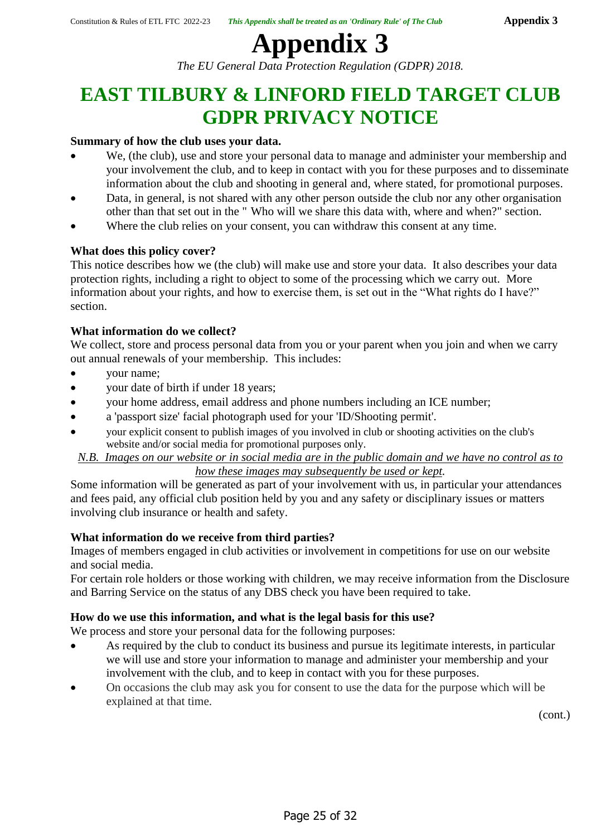*The EU General Data Protection Regulation (GDPR) 2018.*

### **EAST TILBURY & LINFORD FIELD TARGET CLUB GDPR PRIVACY NOTICE**

### **Summary of how the club uses your data.**

- We, (the club), use and store your personal data to manage and administer your membership and your involvement the club, and to keep in contact with you for these purposes and to disseminate information about the club and shooting in general and, where stated, for promotional purposes.
- Data, in general, is not shared with any other person outside the club nor any other organisation other than that set out in the " Who will we share this data with, where and when?" section.
- Where the club relies on your consent, you can withdraw this consent at any time.

### **What does this policy cover?**

This notice describes how we (the club) will make use and store your data. It also describes your data protection rights, including a right to object to some of the processing which we carry out. More information about your rights, and how to exercise them, is set out in the "What rights do I have?" section.

### **What information do we collect?**

We collect, store and process personal data from you or your parent when you join and when we carry out annual renewals of your membership. This includes:

- your name;
- your date of birth if under 18 years;
- your home address, email address and phone numbers including an ICE number;
- a 'passport size' facial photograph used for your 'ID/Shooting permit'.
- your explicit consent to publish images of you involved in club or shooting activities on the club's website and/or social media for promotional purposes only.

*N.B. Images on our website or in social media are in the public domain and we have no control as to how these images may subsequently be used or kept.*

Some information will be generated as part of your involvement with us, in particular your attendances and fees paid, any official club position held by you and any safety or disciplinary issues or matters involving club insurance or health and safety.

### **What information do we receive from third parties?**

Images of members engaged in club activities or involvement in competitions for use on our website and social media.

For certain role holders or those working with children, we may receive information from the Disclosure and Barring Service on the status of any DBS check you have been required to take.

### **How do we use this information, and what is the legal basis for this use?**

We process and store your personal data for the following purposes:

- As required by the club to conduct its business and pursue its legitimate interests, in particular we will use and store your information to manage and administer your membership and your involvement with the club, and to keep in contact with you for these purposes.
- On occasions the club may ask you for consent to use the data for the purpose which will be explained at that time.

(cont.)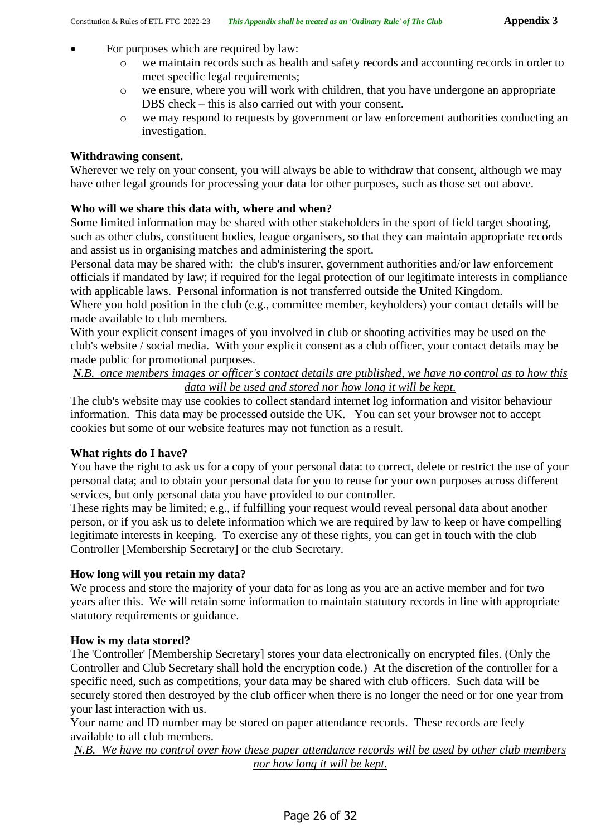- For purposes which are required by law:
	- o we maintain records such as health and safety records and accounting records in order to meet specific legal requirements;
	- o we ensure, where you will work with children, that you have undergone an appropriate DBS check – this is also carried out with your consent.
	- o we may respond to requests by government or law enforcement authorities conducting an investigation.

### **Withdrawing consent.**

Wherever we rely on your consent, you will always be able to withdraw that consent, although we may have other legal grounds for processing your data for other purposes, such as those set out above.

### **Who will we share this data with, where and when?**

Some limited information may be shared with other stakeholders in the sport of field target shooting, such as other clubs, constituent bodies, league organisers, so that they can maintain appropriate records and assist us in organising matches and administering the sport.

Personal data may be shared with: the club's insurer, government authorities and/or law enforcement officials if mandated by law; if required for the legal protection of our legitimate interests in compliance with applicable laws. Personal information is not transferred outside the United Kingdom.

Where you hold position in the club (e.g., committee member, keyholders) your contact details will be made available to club members.

With your explicit consent images of you involved in club or shooting activities may be used on the club's website / social media. With your explicit consent as a club officer, your contact details may be made public for promotional purposes.

### *N.B. once members images or officer's contact details are published, we have no control as to how this data will be used and stored nor how long it will be kept.*

The club's website may use cookies to collect standard internet log information and visitor behaviour information. This data may be processed outside the UK. You can set your browser not to accept cookies but some of our website features may not function as a result.

### **What rights do I have?**

You have the right to ask us for a copy of your personal data: to correct, delete or restrict the use of your personal data; and to obtain your personal data for you to reuse for your own purposes across different services, but only personal data you have provided to our controller.

These rights may be limited; e.g., if fulfilling your request would reveal personal data about another person, or if you ask us to delete information which we are required by law to keep or have compelling legitimate interests in keeping. To exercise any of these rights, you can get in touch with the club Controller [Membership Secretary] or the club Secretary.

### **How long will you retain my data?**

We process and store the majority of your data for as long as you are an active member and for two years after this. We will retain some information to maintain statutory records in line with appropriate statutory requirements or guidance.

### **How is my data stored?**

The 'Controller' [Membership Secretary] stores your data electronically on encrypted files. (Only the Controller and Club Secretary shall hold the encryption code.) At the discretion of the controller for a specific need, such as competitions, your data may be shared with club officers. Such data will be securely stored then destroyed by the club officer when there is no longer the need or for one year from your last interaction with us.

Your name and ID number may be stored on paper attendance records. These records are feely available to all club members.

*N.B. We have no control over how these paper attendance records will be used by other club members nor how long it will be kept.*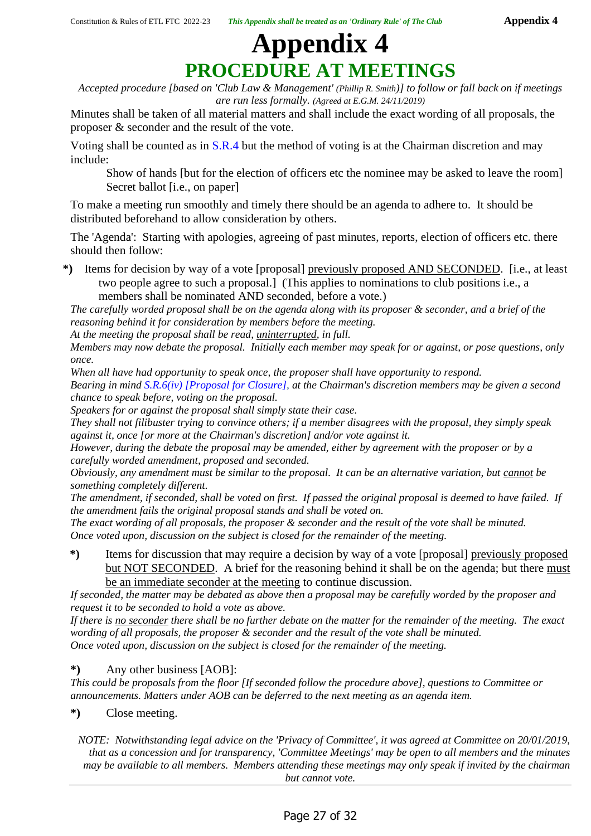## **Appendix 4 PROCEDURE AT MEETINGS**

*Accepted procedure [based on 'Club Law & Management' (Phillip R. Smith)] to follow or fall back on if meetings are run less formally. (Agreed at E.G.M. 24/11/2019)*

Minutes shall be taken of all material matters and shall include the exact wording of all proposals, the proposer & seconder and the result of the vote.

Voting shall be counted as in S.R.4 but the method of voting is at the Chairman discretion and may include:

Show of hands [but for the election of officers etc the nominee may be asked to leave the room] Secret ballot [i.e., on paper]

To make a meeting run smoothly and timely there should be an agenda to adhere to. It should be distributed beforehand to allow consideration by others.

The 'Agenda': Starting with apologies, agreeing of past minutes, reports, election of officers etc. there should then follow:

**\*)** Items for decision by way of a vote [proposal] previously proposed AND SECONDED. [i.e., at least two people agree to such a proposal.] (This applies to nominations to club positions i.e., a members shall be nominated AND seconded, before a vote.)

*The carefully worded proposal shall be on the agenda along with its proposer & seconder, and a brief of the reasoning behind it for consideration by members before the meeting.*

*At the meeting the proposal shall be read, uninterrupted, in full.*

*Members may now debate the proposal. Initially each member may speak for or against, or pose questions, only once.* 

*When all have had opportunity to speak once, the proposer shall have opportunity to respond.* 

*Bearing in mind S.R.6(iv) [Proposal for Closure], at the Chairman's discretion members may be given a second chance to speak before, voting on the proposal.* 

*Speakers for or against the proposal shall simply state their case.* 

*They shall not filibuster trying to convince others; if a member disagrees with the proposal, they simply speak against it, once [or more at the Chairman's discretion] and/or vote against it.*

*However, during the debate the proposal may be amended, either by agreement with the proposer or by a carefully worded amendment, proposed and seconded.* 

*Obviously, any amendment must be similar to the proposal. It can be an alternative variation, but cannot be something completely different.*

*The amendment, if seconded, shall be voted on first. If passed the original proposal is deemed to have failed. If the amendment fails the original proposal stands and shall be voted on.*

*The exact wording of all proposals, the proposer & seconder and the result of the vote shall be minuted. Once voted upon, discussion on the subject is closed for the remainder of the meeting.*

**\*)** Items for discussion that may require a decision by way of a vote [proposal] previously proposed but NOT SECONDED. A brief for the reasoning behind it shall be on the agenda; but there must be an immediate seconder at the meeting to continue discussion.

*If seconded, the matter may be debated as above then a proposal may be carefully worded by the proposer and request it to be seconded to hold a vote as above.* 

*If there is no seconder there shall be no further debate on the matter for the remainder of the meeting. The exact wording of all proposals, the proposer & seconder and the result of the vote shall be minuted. Once voted upon, discussion on the subject is closed for the remainder of the meeting.*

### **\*)** Any other business [AOB]:

*This could be proposals from the floor [If seconded follow the procedure above], questions to Committee or announcements. Matters under AOB can be deferred to the next meeting as an agenda item.*

**\*)** Close meeting.

*NOTE: Notwithstanding legal advice on the 'Privacy of Committee', it was agreed at Committee on 20/01/2019, that as a concession and for transparency, 'Committee Meetings' may be open to all members and the minutes may be available to all members. Members attending these meetings may only speak if invited by the chairman but cannot vote.*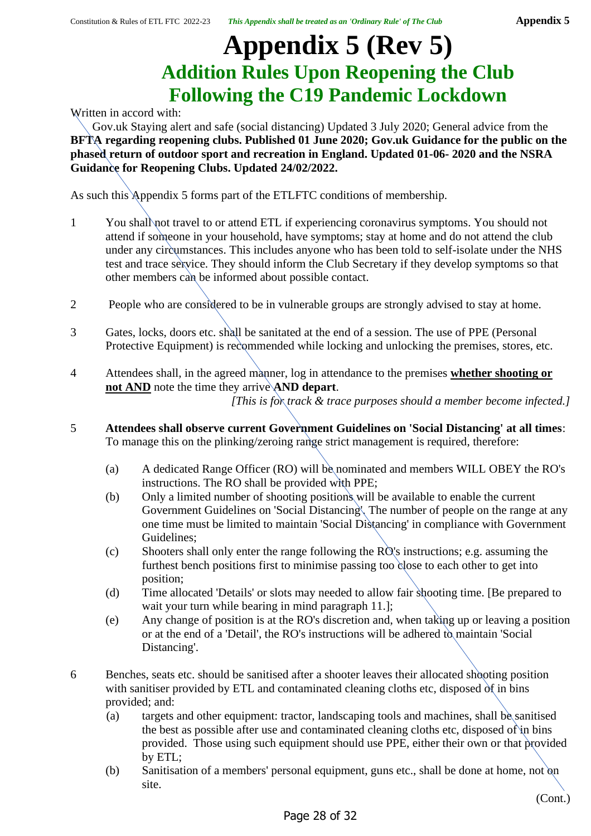## **Appendix 5 (Rev 5) Addition Rules Upon Reopening the Club Following the C19 Pandemic Lockdown**

Written in accord with:

Gov.uk Staying alert and safe (social distancing) Updated 3 July 2020; General advice from the **BFTA regarding reopening clubs. Published 01 June 2020; Gov.uk Guidance for the public on the phased return of outdoor sport and recreation in England. Updated 01-06- 2020 and the NSRA Guidance for Reopening Clubs. Updated 24/02/2022.**

As such this Appendix 5 forms part of the ETLFTC conditions of membership.

- 1 You shall not travel to or attend ETL if experiencing coronavirus symptoms. You should not attend if someone in your household, have symptoms; stay at home and do not attend the club under any circumstances. This includes anyone who has been told to self-isolate under the NHS test and trace service. They should inform the Club Secretary if they develop symptoms so that other members can be informed about possible contact.
- 2 People who are considered to be in vulnerable groups are strongly advised to stay at home.
- 3 Gates, locks, doors etc. shall be sanitated at the end of a session. The use of PPE (Personal Protective Equipment) is recommended while locking and unlocking the premises, stores, etc.
- 4 Attendees shall, in the agreed manner, log in attendance to the premises **whether shooting or not AND** note the time they arrive **AND depart**.

*[This is for track & trace purposes should a member become infected.]*

- 5 **Attendees shall observe current Government Guidelines on 'Social Distancing' at all times**: To manage this on the plinking/zeroing range strict management is required, therefore:
	- (a) A dedicated Range Officer (RO) will be nominated and members WILL OBEY the RO's instructions. The RO shall be provided with PPE;
	- (b) Only a limited number of shooting positions will be available to enable the current Government Guidelines on 'Social Distancing'. The number of people on the range at any one time must be limited to maintain 'Social Distancing' in compliance with Government Guidelines;
	- (c) Shooters shall only enter the range following the RO's instructions; e.g. assuming the furthest bench positions first to minimise passing too close to each other to get into position;
	- (d) Time allocated 'Details' or slots may needed to allow fair shooting time. [Be prepared to wait your turn while bearing in mind paragraph 11.];
	- (e) Any change of position is at the RO's discretion and, when taking up or leaving a position or at the end of a 'Detail', the RO's instructions will be adhered to maintain 'Social Distancing'.
- 6 Benches, seats etc. should be sanitised after a shooter leaves their allocated shooting position with sanitiser provided by ETL and contaminated cleaning cloths etc, disposed of in bins provided; and:
	- (a) targets and other equipment: tractor, landscaping tools and machines, shall be sanitised the best as possible after use and contaminated cleaning cloths etc, disposed of in bins provided. Those using such equipment should use PPE, either their own or that provided by ETL;
	- (b) Sanitisation of a members' personal equipment, guns etc., shall be done at home, not on site.

(Cont.)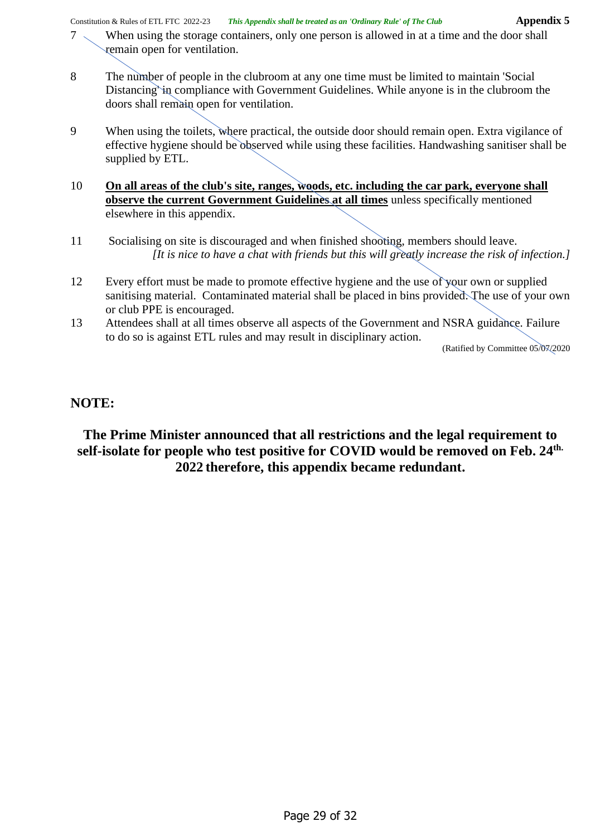Constitution & Rules of ETL FTC 2022-23 *This Appendix shall be treated as an 'Ordinary Rule' of The Club* **Appendix 5**

- 7 When using the storage containers, only one person is allowed in at a time and the door shall remain open for ventilation.
- 8 The number of people in the clubroom at any one time must be limited to maintain 'Social Distancing in compliance with Government Guidelines. While anyone is in the clubroom the doors shall remain open for ventilation.
- 9 When using the toilets, where practical, the outside door should remain open. Extra vigilance of effective hygiene should be observed while using these facilities. Handwashing sanitiser shall be supplied by ETL.
- 10 **On all areas of the club's site, ranges, woods, etc. including the car park, everyone shall observe the current Government Guidelines at all times** unless specifically mentioned elsewhere in this appendix.
- 11 Socialising on site is discouraged and when finished shooting, members should leave. *[It is nice to have a chat with friends but this will greatly increase the risk of infection.]*
- 12 Every effort must be made to promote effective hygiene and the use of your own or supplied sanitising material. Contaminated material shall be placed in bins provided. The use of your own or club PPE is encouraged.
- 13 Attendees shall at all times observe all aspects of the Government and NSRA guidance. Failure to do so is against ETL rules and may result in disciplinary action.

(Ratified by Committee 05/07/2020

### **NOTE:**

**The Prime Minister announced that all restrictions and the legal requirement to self-isolate for people who test positive for COVID would be removed on Feb. 24th. 2022 therefore, this appendix became redundant.**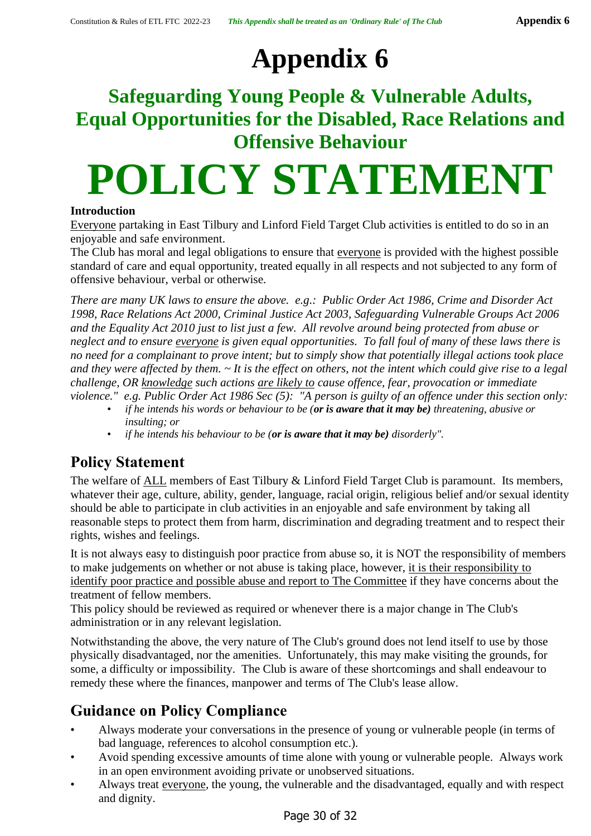### **Safeguarding Young People & Vulnerable Adults, Equal Opportunities for the Disabled, Race Relations and Offensive Behaviour**

# **POLICY STATEMENT**

### **Introduction**

Everyone partaking in East Tilbury and Linford Field Target Club activities is entitled to do so in an enjoyable and safe environment.

The Club has moral and legal obligations to ensure that everyone is provided with the highest possible standard of care and equal opportunity, treated equally in all respects and not subjected to any form of offensive behaviour, verbal or otherwise.

*There are many UK laws to ensure the above. e.g.: Public Order Act 1986, Crime and Disorder Act 1998, Race Relations Act 2000, Criminal Justice Act 2003, Safeguarding Vulnerable Groups Act 2006 and the Equality Act 2010 just to list just a few. All revolve around being protected from abuse or neglect and to ensure everyone is given equal opportunities. To fall foul of many of these laws there is no need for a complainant to prove intent; but to simply show that potentially illegal actions took place and they were affected by them. ~ It is the effect on others, not the intent which could give rise to a legal challenge, OR knowledge such actions are likely to cause offence, fear, provocation or immediate violence." e.g. Public Order Act 1986 Sec (5): "A person is guilty of an offence under this section only:*

- *if he intends his words or behaviour to be (or is aware that it may be) threatening, abusive or insulting; or*
	- *if he intends his behaviour to be (or is aware that it may be) disorderly".*

### **Policy Statement**

The welfare of **ALL** members of East Tilbury & Linford Field Target Club is paramount. Its members, whatever their age, culture, ability, gender, language, racial origin, religious belief and/or sexual identity should be able to participate in club activities in an enjoyable and safe environment by taking all reasonable steps to protect them from harm, discrimination and degrading treatment and to respect their rights, wishes and feelings.

It is not always easy to distinguish poor practice from abuse so, it is NOT the responsibility of members to make judgements on whether or not abuse is taking place, however, it is their responsibility to identify poor practice and possible abuse and report to The Committee if they have concerns about the treatment of fellow members.

This policy should be reviewed as required or whenever there is a major change in The Club's administration or in any relevant legislation.

Notwithstanding the above, the very nature of The Club's ground does not lend itself to use by those physically disadvantaged, nor the amenities. Unfortunately, this may make visiting the grounds, for some, a difficulty or impossibility. The Club is aware of these shortcomings and shall endeavour to remedy these where the finances, manpower and terms of The Club's lease allow.

### **Guidance on Policy Compliance**

- Always moderate your conversations in the presence of young or vulnerable people (in terms of bad language, references to alcohol consumption etc.).
- Avoid spending excessive amounts of time alone with young or vulnerable people. Always work in an open environment avoiding private or unobserved situations.
- Always treat everyone, the young, the vulnerable and the disadvantaged, equally and with respect and dignity.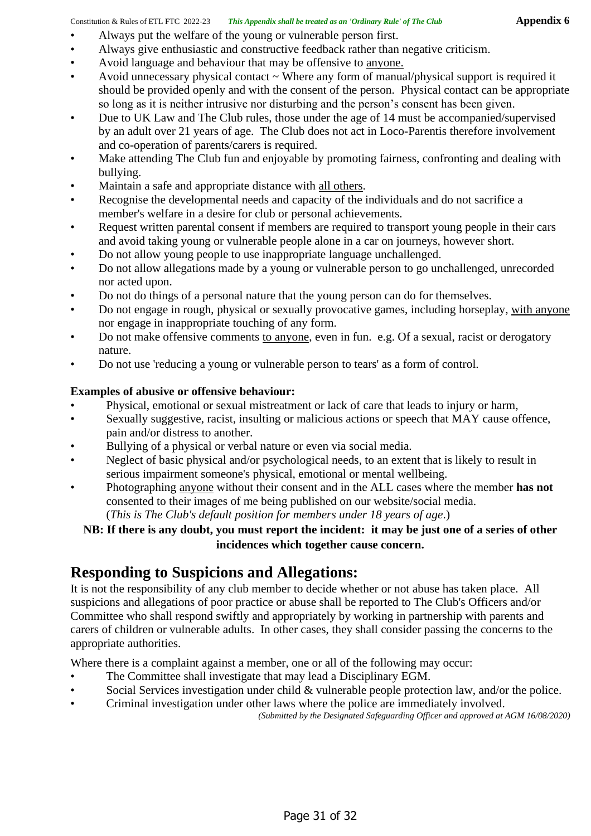- Always put the welfare of the young or vulnerable person first.
- Always give enthusiastic and constructive feedback rather than negative criticism.
- Avoid language and behaviour that may be offensive to anyone.
- Avoid unnecessary physical contact  $\sim$  Where any form of manual/physical support is required it should be provided openly and with the consent of the person. Physical contact can be appropriate so long as it is neither intrusive nor disturbing and the person's consent has been given.
- Due to UK Law and The Club rules, those under the age of 14 must be accompanied/supervised by an adult over 21 years of age. The Club does not act in Loco-Parentis therefore involvement and co-operation of parents/carers is required.
- Make attending The Club fun and enjoyable by promoting fairness, confronting and dealing with bullying.
- Maintain a safe and appropriate distance with all others.
- Recognise the developmental needs and capacity of the individuals and do not sacrifice a member's welfare in a desire for club or personal achievements.
- Request written parental consent if members are required to transport young people in their cars and avoid taking young or vulnerable people alone in a car on journeys, however short.
- Do not allow young people to use inappropriate language unchallenged.
- Do not allow allegations made by a young or vulnerable person to go unchallenged, unrecorded nor acted upon.
- Do not do things of a personal nature that the young person can do for themselves.
- Do not engage in rough, physical or sexually provocative games, including horseplay, with anyone nor engage in inappropriate touching of any form.
- Do not make offensive comments to anyone, even in fun. e.g. Of a sexual, racist or derogatory nature.
- Do not use 'reducing a young or vulnerable person to tears' as a form of control.

### **Examples of abusive or offensive behaviour:**

- Physical, emotional or sexual mistreatment or lack of care that leads to injury or harm,
- Sexually suggestive, racist, insulting or malicious actions or speech that MAY cause offence, pain and/or distress to another.
- Bullying of a physical or verbal nature or even via social media.
- Neglect of basic physical and/or psychological needs, to an extent that is likely to result in serious impairment someone's physical, emotional or mental wellbeing.
- Photographing anyone without their consent and in the ALL cases where the member **has not** consented to their images of me being published on our website/social media. (*This is The Club's default position for members under 18 years of age*.)

### **NB: If there is any doubt, you must report the incident: it may be just one of a series of other incidences which together cause concern.**

### **Responding to Suspicions and Allegations:**

It is not the responsibility of any club member to decide whether or not abuse has taken place. All suspicions and allegations of poor practice or abuse shall be reported to The Club's Officers and/or Committee who shall respond swiftly and appropriately by working in partnership with parents and carers of children or vulnerable adults. In other cases, they shall consider passing the concerns to the appropriate authorities.

Where there is a complaint against a member, one or all of the following may occur:

- The Committee shall investigate that may lead a Disciplinary EGM.
- Social Services investigation under child  $&$  vulnerable people protection law, and/or the police.
- Criminal investigation under other laws where the police are immediately involved.

*(Submitted by the Designated Safeguarding Officer and approved at AGM 16/08/2020)*